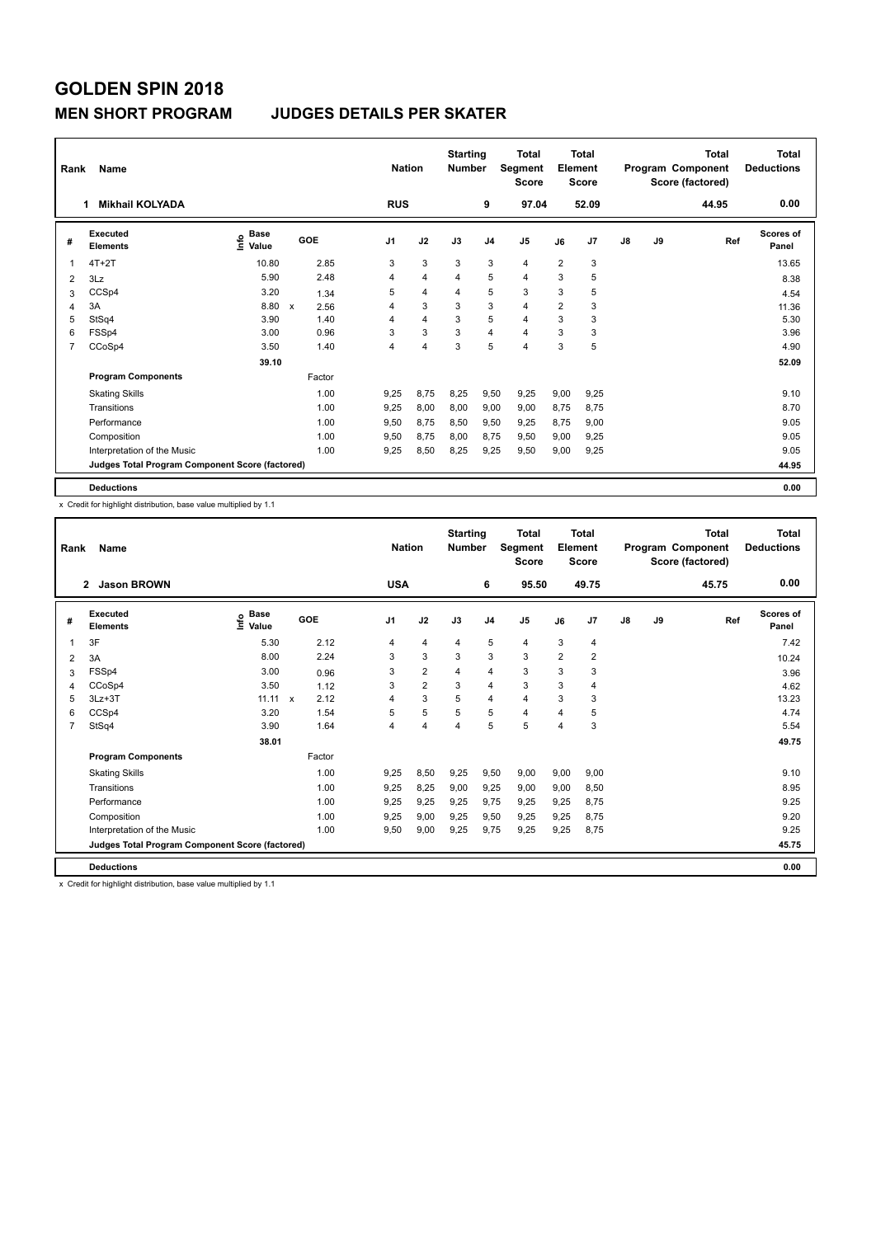#### **MEN SHORT PROGRAM JUDGES DETAILS PER SKATER**

| Rank           | Name                                            |                              |                           |        | <b>Nation</b>  |                | <b>Starting</b><br><b>Number</b> |                | <b>Total</b><br>Segment<br><b>Score</b> |                | <b>Total</b><br>Element<br><b>Score</b> |               |    | <b>Total</b><br>Program Component<br>Score (factored) | Total<br><b>Deductions</b> |
|----------------|-------------------------------------------------|------------------------------|---------------------------|--------|----------------|----------------|----------------------------------|----------------|-----------------------------------------|----------------|-----------------------------------------|---------------|----|-------------------------------------------------------|----------------------------|
|                | <b>Mikhail KOLYADA</b>                          |                              |                           |        | <b>RUS</b>     |                |                                  | 9              | 97.04                                   |                | 52.09                                   |               |    | 44.95                                                 | 0.00                       |
| #              | Executed<br><b>Elements</b>                     | <b>Base</b><br>lnfo<br>Value | GOE                       |        | J <sub>1</sub> | J2             | J3                               | J <sub>4</sub> | J <sub>5</sub>                          | J6             | J7                                      | $\mathsf{J}8$ | J9 | Ref                                                   | <b>Scores of</b><br>Panel  |
| 1              | $4T+2T$                                         | 10.80                        |                           | 2.85   | 3              | 3              | 3                                | 3              | 4                                       | $\overline{2}$ | 3                                       |               |    |                                                       | 13.65                      |
| 2              | 3Lz                                             | 5.90                         |                           | 2.48   | 4              | $\overline{4}$ | 4                                | 5              | 4                                       | 3              | 5                                       |               |    |                                                       | 8.38                       |
| 3              | CCSp4                                           | 3.20                         |                           | 1.34   | 5              | $\overline{4}$ | $\overline{4}$                   | 5              | 3                                       | 3              | 5                                       |               |    |                                                       | 4.54                       |
| 4              | 3A                                              | 8.80                         | $\boldsymbol{\mathsf{x}}$ | 2.56   | 4              | 3              | 3                                | 3              | $\overline{4}$                          | $\overline{2}$ | 3                                       |               |    |                                                       | 11.36                      |
| 5              | StSq4                                           | 3.90                         |                           | 1.40   | 4              | $\overline{4}$ | 3                                | 5              | 4                                       | 3              | 3                                       |               |    |                                                       | 5.30                       |
| 6              | FSSp4                                           | 3.00                         |                           | 0.96   | 3              | 3              | 3                                | $\overline{4}$ | $\overline{4}$                          | 3              | 3                                       |               |    |                                                       | 3.96                       |
| $\overline{7}$ | CCoSp4                                          | 3.50                         |                           | 1.40   | 4              | $\overline{4}$ | 3                                | 5              | $\overline{4}$                          | 3              | 5                                       |               |    |                                                       | 4.90                       |
|                |                                                 | 39.10                        |                           |        |                |                |                                  |                |                                         |                |                                         |               |    |                                                       | 52.09                      |
|                | <b>Program Components</b>                       |                              |                           | Factor |                |                |                                  |                |                                         |                |                                         |               |    |                                                       |                            |
|                | <b>Skating Skills</b>                           |                              |                           | 1.00   | 9.25           | 8,75           | 8.25                             | 9,50           | 9,25                                    | 9,00           | 9,25                                    |               |    |                                                       | 9.10                       |
|                | Transitions                                     |                              |                           | 1.00   | 9,25           | 8,00           | 8,00                             | 9,00           | 9,00                                    | 8,75           | 8,75                                    |               |    |                                                       | 8.70                       |
|                | Performance                                     |                              |                           | 1.00   | 9.50           | 8,75           | 8,50                             | 9,50           | 9,25                                    | 8,75           | 9,00                                    |               |    |                                                       | 9.05                       |
|                | Composition                                     |                              |                           | 1.00   | 9,50           | 8,75           | 8,00                             | 8,75           | 9,50                                    | 9,00           | 9,25                                    |               |    |                                                       | 9.05                       |
|                | Interpretation of the Music                     |                              |                           | 1.00   | 9.25           | 8,50           | 8,25                             | 9,25           | 9,50                                    | 9,00           | 9,25                                    |               |    |                                                       | 9.05                       |
|                | Judges Total Program Component Score (factored) |                              |                           |        |                |                |                                  |                |                                         |                |                                         |               |    |                                                       | 44.95                      |
|                | <b>Deductions</b>                               |                              |                           |        |                |                |                                  |                |                                         |                |                                         |               |    |                                                       | 0.00                       |

x Credit for highlight distribution, base value multiplied by 1.1

| Rank           | Name                                            |                              |        |                | <b>Nation</b>  | <b>Starting</b><br><b>Number</b> |                | <b>Total</b><br>Segment<br><b>Score</b> |                | Total<br>Element<br><b>Score</b> |               |    | <b>Total</b><br>Program Component<br>Score (factored) | <b>Total</b><br><b>Deductions</b> |
|----------------|-------------------------------------------------|------------------------------|--------|----------------|----------------|----------------------------------|----------------|-----------------------------------------|----------------|----------------------------------|---------------|----|-------------------------------------------------------|-----------------------------------|
|                | <b>Jason BROWN</b><br>$\overline{2}$            |                              |        | <b>USA</b>     |                |                                  | 6              | 95.50                                   |                | 49.75                            |               |    | 45.75                                                 | 0.00                              |
| #              | Executed<br><b>Elements</b>                     | <b>Base</b><br>lnfo<br>Value | GOE    | J <sub>1</sub> | J2             | J3                               | J <sub>4</sub> | J <sub>5</sub>                          | J6             | J7                               | $\mathsf{J}8$ | J9 | Ref                                                   | <b>Scores of</b><br>Panel         |
|                | 3F                                              | 5.30                         | 2.12   | 4              | $\overline{4}$ | 4                                | 5              | $\overline{4}$                          | 3              | $\overline{4}$                   |               |    |                                                       | 7.42                              |
| 2              | 3A                                              | 8.00                         | 2.24   | 3              | 3              | 3                                | 3              | 3                                       | $\overline{2}$ | $\overline{2}$                   |               |    |                                                       | 10.24                             |
| 3              | FSSp4                                           | 3.00                         | 0.96   | 3              | $\overline{2}$ | 4                                | $\overline{4}$ | 3                                       | 3              | 3                                |               |    |                                                       | 3.96                              |
| 4              | CCoSp4                                          | 3.50                         | 1.12   | 3              | $\overline{2}$ | 3                                | $\overline{4}$ | 3                                       | 3              | $\overline{4}$                   |               |    |                                                       | 4.62                              |
| 5              | $3Lz + 3T$                                      | 11.11 x                      | 2.12   | 4              | 3              | 5                                | $\overline{4}$ | $\overline{4}$                          | 3              | 3                                |               |    |                                                       | 13.23                             |
| 6              | CCSp4                                           | 3.20                         | 1.54   | 5              | 5              | 5                                | 5              | $\overline{4}$                          | 4              | 5                                |               |    |                                                       | 4.74                              |
| $\overline{7}$ | StSq4                                           | 3.90                         | 1.64   | 4              | $\overline{4}$ | 4                                | 5              | 5                                       | 4              | 3                                |               |    |                                                       | 5.54                              |
|                |                                                 | 38.01                        |        |                |                |                                  |                |                                         |                |                                  |               |    |                                                       | 49.75                             |
|                | <b>Program Components</b>                       |                              | Factor |                |                |                                  |                |                                         |                |                                  |               |    |                                                       |                                   |
|                | <b>Skating Skills</b>                           |                              | 1.00   | 9.25           | 8,50           | 9,25                             | 9,50           | 9,00                                    | 9,00           | 9,00                             |               |    |                                                       | 9.10                              |
|                | Transitions                                     |                              | 1.00   | 9,25           | 8,25           | 9,00                             | 9,25           | 9,00                                    | 9,00           | 8,50                             |               |    |                                                       | 8.95                              |
|                | Performance                                     |                              | 1.00   | 9,25           | 9,25           | 9,25                             | 9,75           | 9,25                                    | 9,25           | 8,75                             |               |    |                                                       | 9.25                              |
|                | Composition                                     |                              | 1.00   | 9,25           | 9,00           | 9,25                             | 9,50           | 9,25                                    | 9,25           | 8,75                             |               |    |                                                       | 9.20                              |
|                | Interpretation of the Music                     |                              | 1.00   | 9,50           | 9,00           | 9,25                             | 9,75           | 9,25                                    | 9.25           | 8,75                             |               |    |                                                       | 9.25                              |
|                | Judges Total Program Component Score (factored) |                              |        |                |                |                                  |                |                                         |                |                                  |               |    |                                                       | 45.75                             |
|                | <b>Deductions</b>                               |                              |        |                |                |                                  |                |                                         |                |                                  |               |    |                                                       | 0.00                              |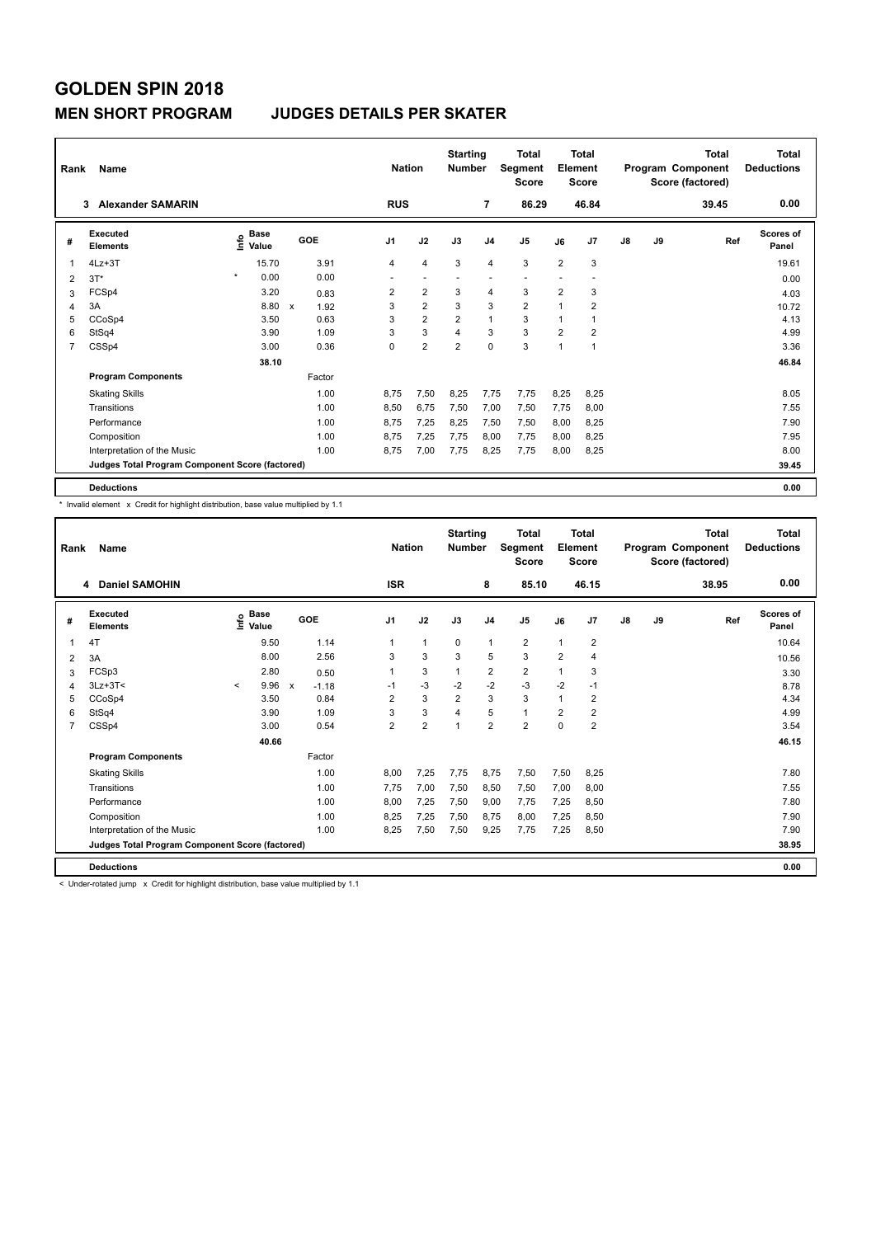#### **MEN SHORT PROGRAM JUDGES DETAILS PER SKATER**

| Rank           | Name                                            |                                             |                      | <b>Nation</b>  |                | <b>Starting</b><br><b>Number</b> |                | <b>Total</b><br>Segment<br><b>Score</b> |                | <b>Total</b><br>Element<br><b>Score</b> |               |    | <b>Total</b><br>Program Component<br>Score (factored) | <b>Total</b><br><b>Deductions</b> |
|----------------|-------------------------------------------------|---------------------------------------------|----------------------|----------------|----------------|----------------------------------|----------------|-----------------------------------------|----------------|-----------------------------------------|---------------|----|-------------------------------------------------------|-----------------------------------|
|                | <b>Alexander SAMARIN</b><br>3                   |                                             |                      | <b>RUS</b>     |                |                                  | 7              | 86.29                                   |                | 46.84                                   |               |    | 39.45                                                 | 0.00                              |
| #              | Executed<br><b>Elements</b>                     | <b>Base</b><br>e <sup>Base</sup><br>⊆ Value | GOE                  | J <sub>1</sub> | J2             | J3                               | J <sub>4</sub> | J <sub>5</sub>                          | J6             | J7                                      | $\mathsf{J}8$ | J9 | Ref                                                   | <b>Scores of</b><br>Panel         |
| 1              | $4Lz + 3T$                                      | 15.70                                       | 3.91                 | 4              | $\overline{4}$ | 3                                | $\overline{4}$ | 3                                       | $\overline{2}$ | 3                                       |               |    |                                                       | 19.61                             |
| 2              | $3T*$                                           | $\star$<br>0.00                             | 0.00                 | ٠              | ٠              |                                  |                | $\overline{\phantom{a}}$                |                |                                         |               |    |                                                       | 0.00                              |
| 3              | FCSp4                                           | 3.20                                        | 0.83                 | $\overline{2}$ | $\overline{2}$ | 3                                | $\overline{4}$ | 3                                       | $\overline{2}$ | 3                                       |               |    |                                                       | 4.03                              |
| 4              | 3A                                              | 8.80                                        | $\mathsf{x}$<br>1.92 | 3              | $\overline{2}$ | 3                                | 3              | $\overline{2}$                          | 1              | 2                                       |               |    |                                                       | 10.72                             |
| 5              | CCoSp4                                          | 3.50                                        | 0.63                 | 3              | $\overline{2}$ | $\overline{2}$                   | $\mathbf{1}$   | 3                                       | 1              |                                         |               |    |                                                       | 4.13                              |
| 6              | StSq4                                           | 3.90                                        | 1.09                 | 3              | 3              | $\overline{\mathbf{4}}$          | 3              | 3                                       | $\overline{2}$ | $\overline{2}$                          |               |    |                                                       | 4.99                              |
| $\overline{7}$ | CSSp4                                           | 3.00                                        | 0.36                 | 0              | $\overline{2}$ | $\overline{2}$                   | $\mathbf 0$    | 3                                       | $\mathbf{1}$   | 1                                       |               |    |                                                       | 3.36                              |
|                |                                                 | 38.10                                       |                      |                |                |                                  |                |                                         |                |                                         |               |    |                                                       | 46.84                             |
|                | <b>Program Components</b>                       |                                             | Factor               |                |                |                                  |                |                                         |                |                                         |               |    |                                                       |                                   |
|                | <b>Skating Skills</b>                           |                                             | 1.00                 | 8.75           | 7,50           | 8.25                             | 7,75           | 7,75                                    | 8,25           | 8,25                                    |               |    |                                                       | 8.05                              |
|                | Transitions                                     |                                             | 1.00                 | 8,50           | 6,75           | 7,50                             | 7,00           | 7,50                                    | 7,75           | 8,00                                    |               |    |                                                       | 7.55                              |
|                | Performance                                     |                                             | 1.00                 | 8.75           | 7,25           | 8,25                             | 7,50           | 7,50                                    | 8,00           | 8,25                                    |               |    |                                                       | 7.90                              |
|                | Composition                                     |                                             | 1.00                 | 8.75           | 7,25           | 7,75                             | 8,00           | 7,75                                    | 8,00           | 8,25                                    |               |    |                                                       | 7.95                              |
|                | Interpretation of the Music                     |                                             | 1.00                 | 8,75           | 7,00           | 7,75                             | 8,25           | 7,75                                    | 8,00           | 8,25                                    |               |    |                                                       | 8.00                              |
|                | Judges Total Program Component Score (factored) |                                             |                      |                |                |                                  |                |                                         |                |                                         |               |    |                                                       | 39.45                             |
|                | <b>Deductions</b>                               |                                             |                      |                |                |                                  |                |                                         |                |                                         |               |    |                                                       | 0.00                              |

\* Invalid element x Credit for highlight distribution, base value multiplied by 1.1

| Rank | Name                                            |         |                      |                           |         | <b>Nation</b>  |                | <b>Starting</b><br><b>Number</b> |                         | Total<br>Segment<br><b>Score</b> |                | Total<br>Element<br><b>Score</b> |               |    | Total<br>Program Component<br>Score (factored) | <b>Total</b><br><b>Deductions</b> |
|------|-------------------------------------------------|---------|----------------------|---------------------------|---------|----------------|----------------|----------------------------------|-------------------------|----------------------------------|----------------|----------------------------------|---------------|----|------------------------------------------------|-----------------------------------|
|      | <b>Daniel SAMOHIN</b><br>4                      |         |                      |                           |         | <b>ISR</b>     |                |                                  | 8                       | 85.10                            |                | 46.15                            |               |    | 38.95                                          | 0.00                              |
| #    | Executed<br><b>Elements</b>                     | lnfo    | <b>Base</b><br>Value | GOE                       |         | J <sub>1</sub> | J2             | J3                               | J <sub>4</sub>          | J <sub>5</sub>                   | J6             | J7                               | $\mathsf{J}8$ | J9 | Ref                                            | <b>Scores of</b><br>Panel         |
|      | 4T                                              |         | 9.50                 |                           | 1.14    | $\mathbf{1}$   | $\mathbf{1}$   | $\mathbf{0}$                     | $\mathbf{1}$            | $\overline{2}$                   | 1              | $\overline{2}$                   |               |    |                                                | 10.64                             |
| 2    | 3A                                              |         | 8.00                 |                           | 2.56    | 3              | 3              | 3                                | 5                       | 3                                | $\overline{2}$ | 4                                |               |    |                                                | 10.56                             |
| 3    | FCSp3                                           |         | 2.80                 |                           | 0.50    | 1              | 3              | $\mathbf{1}$                     | $\overline{\mathbf{c}}$ | $\overline{2}$                   | 1              | 3                                |               |    |                                                | 3.30                              |
| 4    | $3Lz + 3T <$                                    | $\prec$ | 9.96                 | $\boldsymbol{\mathsf{x}}$ | $-1.18$ | $-1$           | $-3$           | $-2$                             | $-2$                    | $-3$                             | $-2$           | $-1$                             |               |    |                                                | 8.78                              |
| 5    | CCoSp4                                          |         | 3.50                 |                           | 0.84    | $\overline{2}$ | 3              | $\overline{2}$                   | 3                       | 3                                | 1              | $\overline{2}$                   |               |    |                                                | 4.34                              |
| 6    | StSq4                                           |         | 3.90                 |                           | 1.09    | 3              | 3              | 4                                | 5                       | 1                                | 2              | 2                                |               |    |                                                | 4.99                              |
| 7    | CSSp4                                           |         | 3.00                 |                           | 0.54    | $\overline{2}$ | $\overline{2}$ | $\overline{1}$                   | $\overline{2}$          | $\overline{2}$                   | 0              | $\overline{2}$                   |               |    |                                                | 3.54                              |
|      |                                                 |         | 40.66                |                           |         |                |                |                                  |                         |                                  |                |                                  |               |    |                                                | 46.15                             |
|      | <b>Program Components</b>                       |         |                      |                           | Factor  |                |                |                                  |                         |                                  |                |                                  |               |    |                                                |                                   |
|      | <b>Skating Skills</b>                           |         |                      |                           | 1.00    | 8.00           | 7.25           | 7.75                             | 8.75                    | 7,50                             | 7,50           | 8,25                             |               |    |                                                | 7.80                              |
|      | Transitions                                     |         |                      |                           | 1.00    | 7,75           | 7,00           | 7,50                             | 8,50                    | 7,50                             | 7,00           | 8,00                             |               |    |                                                | 7.55                              |
|      | Performance                                     |         |                      |                           | 1.00    | 8.00           | 7.25           | 7.50                             | 9.00                    | 7.75                             | 7,25           | 8,50                             |               |    |                                                | 7.80                              |
|      | Composition                                     |         |                      |                           | 1.00    | 8,25           | 7,25           | 7,50                             | 8,75                    | 8,00                             | 7,25           | 8,50                             |               |    |                                                | 7.90                              |
|      | Interpretation of the Music                     |         |                      |                           | 1.00    | 8,25           | 7,50           | 7,50                             | 9,25                    | 7,75                             | 7,25           | 8,50                             |               |    |                                                | 7.90                              |
|      | Judges Total Program Component Score (factored) |         |                      |                           |         |                |                |                                  |                         |                                  |                |                                  |               |    |                                                | 38.95                             |
|      | <b>Deductions</b>                               |         |                      |                           |         |                |                |                                  |                         |                                  |                |                                  |               |    |                                                | 0.00                              |

< Under-rotated jump x Credit for highlight distribution, base value multiplied by 1.1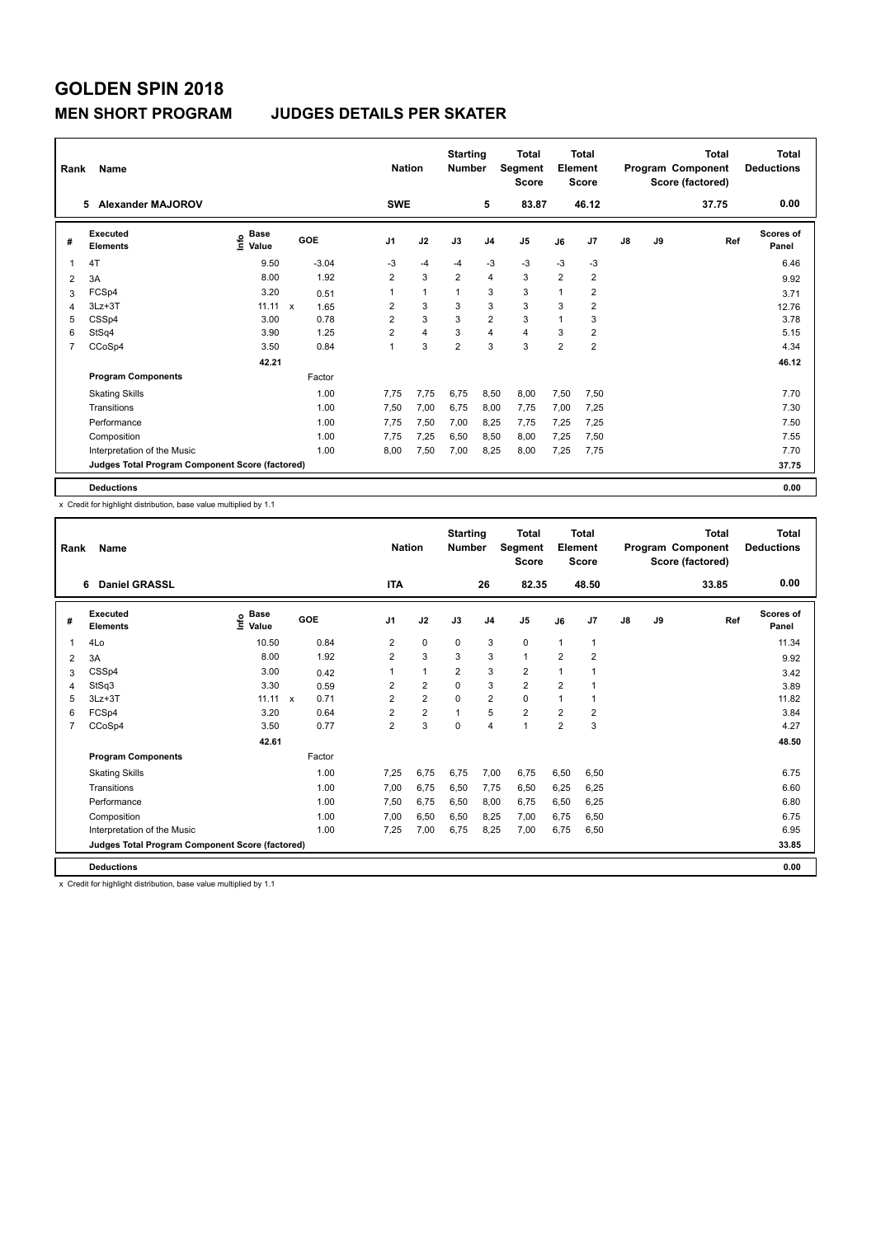#### **MEN SHORT PROGRAM JUDGES DETAILS PER SKATER**

| Rank           | Name                                            |                                  |                     | <b>Nation</b>  |              | <b>Starting</b><br><b>Number</b> |                | <b>Total</b><br>Segment<br><b>Score</b> |                | <b>Total</b><br>Element<br><b>Score</b> |               |    | <b>Total</b><br>Program Component<br>Score (factored) | Total<br><b>Deductions</b> |
|----------------|-------------------------------------------------|----------------------------------|---------------------|----------------|--------------|----------------------------------|----------------|-----------------------------------------|----------------|-----------------------------------------|---------------|----|-------------------------------------------------------|----------------------------|
|                | <b>Alexander MAJOROV</b><br>5.                  |                                  |                     | <b>SWE</b>     |              |                                  | 5              | 83.87                                   |                | 46.12                                   |               |    | 37.75                                                 | 0.00                       |
| #              | <b>Executed</b><br><b>Elements</b>              | <b>Base</b><br>e Base<br>⊆ Value | GOE                 | J <sub>1</sub> | J2           | J3                               | J <sub>4</sub> | J <sub>5</sub>                          | J6             | J7                                      | $\mathsf{J}8$ | J9 | Ref                                                   | <b>Scores of</b><br>Panel  |
| 1              | 4T                                              | 9.50                             | $-3.04$             | $-3$           | $-4$         | $-4$                             | $-3$           | $-3$                                    | $-3$           | -3                                      |               |    |                                                       | 6.46                       |
| 2              | 3A                                              | 8.00                             | 1.92                | $\overline{2}$ | 3            | $\overline{2}$                   | 4              | 3                                       | $\overline{2}$ | $\overline{2}$                          |               |    |                                                       | 9.92                       |
| 3              | FCSp4                                           | 3.20                             | 0.51                | 1              | $\mathbf{1}$ | 1                                | 3              | 3                                       | $\mathbf 1$    | $\overline{2}$                          |               |    |                                                       | 3.71                       |
| 4              | $3Lz + 3T$                                      | 11.11                            | $\mathbf x$<br>1.65 | $\overline{2}$ | 3            | 3                                | 3              | 3                                       | 3              | $\overline{2}$                          |               |    |                                                       | 12.76                      |
| 5              | CSSp4                                           | 3.00                             | 0.78                | $\overline{2}$ | 3            | 3                                | $\overline{2}$ | 3                                       | $\overline{1}$ | 3                                       |               |    |                                                       | 3.78                       |
| 6              | StSq4                                           | 3.90                             | 1.25                | $\overline{2}$ | 4            | 3                                | $\overline{4}$ | $\overline{4}$                          | 3              | $\overline{2}$                          |               |    |                                                       | 5.15                       |
| $\overline{7}$ | CCoSp4                                          | 3.50                             | 0.84                | 1              | 3            | $\overline{2}$                   | 3              | 3                                       | $\overline{2}$ | $\overline{2}$                          |               |    |                                                       | 4.34                       |
|                |                                                 | 42.21                            |                     |                |              |                                  |                |                                         |                |                                         |               |    |                                                       | 46.12                      |
|                | <b>Program Components</b>                       |                                  | Factor              |                |              |                                  |                |                                         |                |                                         |               |    |                                                       |                            |
|                | <b>Skating Skills</b>                           |                                  | 1.00                | 7.75           | 7,75         | 6,75                             | 8,50           | 8,00                                    | 7,50           | 7,50                                    |               |    |                                                       | 7.70                       |
|                | Transitions                                     |                                  | 1.00                | 7,50           | 7,00         | 6,75                             | 8,00           | 7,75                                    | 7,00           | 7,25                                    |               |    |                                                       | 7.30                       |
|                | Performance                                     |                                  | 1.00                | 7.75           | 7.50         | 7.00                             | 8.25           | 7.75                                    | 7,25           | 7,25                                    |               |    |                                                       | 7.50                       |
|                | Composition                                     |                                  | 1.00                | 7.75           | 7,25         | 6,50                             | 8,50           | 8,00                                    | 7,25           | 7.50                                    |               |    |                                                       | 7.55                       |
|                | Interpretation of the Music                     |                                  | 1.00                | 8,00           | 7,50         | 7,00                             | 8,25           | 8,00                                    | 7,25           | 7,75                                    |               |    |                                                       | 7.70                       |
|                | Judges Total Program Component Score (factored) |                                  |                     |                |              |                                  |                |                                         |                |                                         |               |    |                                                       | 37.75                      |
|                | <b>Deductions</b>                               |                                  |                     |                |              |                                  |                |                                         |                |                                         |               |    |                                                       | 0.00                       |

x Credit for highlight distribution, base value multiplied by 1.1

| Rank | Name                                            | <b>Nation</b>      |        | <b>Starting</b><br><b>Number</b> |                | Total<br>Segment<br><b>Score</b> |                | <b>Total</b><br>Element<br><b>Score</b> |                |                         | <b>Total</b><br>Program Component<br>Score (factored) | Total<br><b>Deductions</b> |       |                    |
|------|-------------------------------------------------|--------------------|--------|----------------------------------|----------------|----------------------------------|----------------|-----------------------------------------|----------------|-------------------------|-------------------------------------------------------|----------------------------|-------|--------------------|
|      | <b>Daniel GRASSL</b><br>6                       |                    |        | <b>ITA</b>                       |                |                                  | 26             | 82.35                                   |                | 48.50                   |                                                       |                            | 33.85 | 0.00               |
| #    | Executed<br><b>Elements</b>                     | $\frac{6}{5}$ Base | GOE    | J <sub>1</sub>                   | J2             | J3                               | J <sub>4</sub> | J5                                      | J6             | J <sub>7</sub>          | $\mathsf{J}8$                                         | J9                         | Ref   | Scores of<br>Panel |
| 1    | 4Lo                                             | 10.50              | 0.84   | $\overline{2}$                   | $\mathbf 0$    | $\Omega$                         | 3              | 0                                       | $\mathbf{1}$   | $\overline{1}$          |                                                       |                            |       | 11.34              |
| 2    | 3A                                              | 8.00               | 1.92   | $\overline{2}$                   | 3              | 3                                | 3              | $\mathbf{1}$                            | $\overline{2}$ | $\overline{2}$          |                                                       |                            |       | 9.92               |
| 3    | CSSp4                                           | 3.00               | 0.42   |                                  | $\mathbf{1}$   | $\overline{2}$                   | 3              | $\overline{2}$                          | 1              | 1                       |                                                       |                            |       | 3.42               |
| 4    | StSq3                                           | 3.30               | 0.59   | $\overline{2}$                   | $\overline{2}$ | 0                                | 3              | $\overline{2}$                          | $\overline{2}$ | 1                       |                                                       |                            |       | 3.89               |
| 5    | $3Lz + 3T$                                      | $11.11 \times$     | 0.71   | $\overline{2}$                   | $\overline{2}$ | $\Omega$                         | $\overline{2}$ | 0                                       | 1              | 1                       |                                                       |                            |       | 11.82              |
| 6    | FCSp4                                           | 3.20               | 0.64   | 2                                | $\overline{2}$ | 1                                | 5              | $\overline{2}$                          | $\overline{2}$ | $\overline{\mathbf{c}}$ |                                                       |                            |       | 3.84               |
| 7    | CCoSp4                                          | 3.50               | 0.77   | $\overline{2}$                   | 3              | $\Omega$                         | $\overline{4}$ | 1                                       | $\overline{2}$ | 3                       |                                                       |                            |       | 4.27               |
|      |                                                 | 42.61              |        |                                  |                |                                  |                |                                         |                |                         |                                                       |                            |       | 48.50              |
|      | <b>Program Components</b>                       |                    | Factor |                                  |                |                                  |                |                                         |                |                         |                                                       |                            |       |                    |
|      | <b>Skating Skills</b>                           |                    | 1.00   | 7,25                             | 6,75           | 6,75                             | 7,00           | 6,75                                    | 6,50           | 6,50                    |                                                       |                            |       | 6.75               |
|      | Transitions                                     |                    | 1.00   | 7,00                             | 6.75           | 6,50                             | 7,75           | 6,50                                    | 6,25           | 6,25                    |                                                       |                            |       | 6.60               |
|      | Performance                                     |                    | 1.00   | 7,50                             | 6,75           | 6,50                             | 8,00           | 6,75                                    | 6,50           | 6,25                    |                                                       |                            |       | 6.80               |
|      | Composition                                     |                    | 1.00   | 7.00                             | 6,50           | 6,50                             | 8,25           | 7,00                                    | 6,75           | 6,50                    |                                                       |                            |       | 6.75               |
|      | Interpretation of the Music                     |                    | 1.00   | 7.25                             | 7,00           | 6,75                             | 8,25           | 7,00                                    | 6,75           | 6,50                    |                                                       |                            |       | 6.95               |
|      | Judges Total Program Component Score (factored) |                    |        |                                  |                |                                  |                |                                         |                |                         |                                                       |                            |       | 33.85              |
|      | <b>Deductions</b>                               |                    |        |                                  |                |                                  |                |                                         |                |                         |                                                       |                            |       | 0.00               |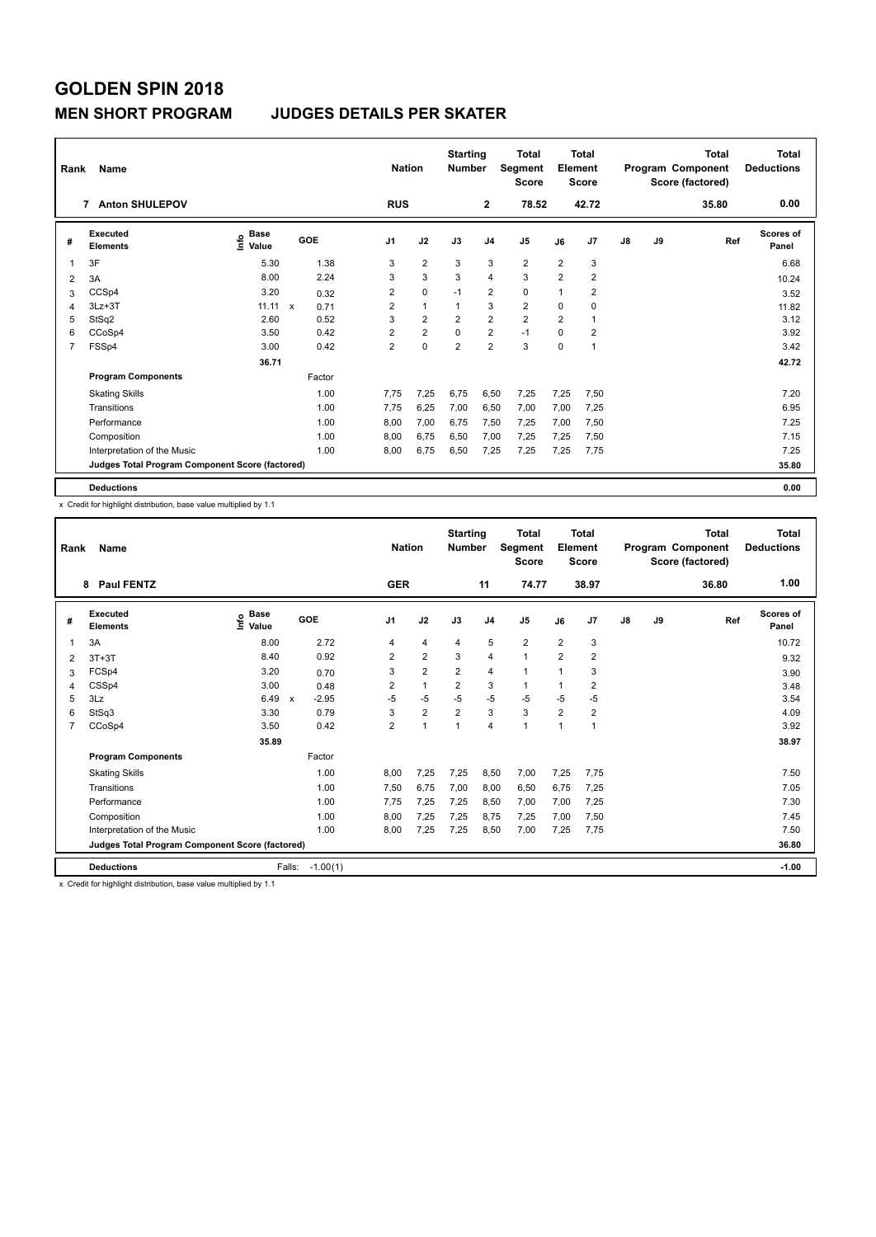#### **MEN SHORT PROGRAM JUDGES DETAILS PER SKATER**

| Rank           | Name                                            |                                    |              |        | <b>Nation</b>  |                | <b>Starting</b><br><b>Number</b> |                | <b>Total</b><br>Segment<br><b>Score</b> |                | <b>Total</b><br>Element<br><b>Score</b> |               |    | <b>Total</b><br>Program Component<br>Score (factored) | Total<br><b>Deductions</b> |
|----------------|-------------------------------------------------|------------------------------------|--------------|--------|----------------|----------------|----------------------------------|----------------|-----------------------------------------|----------------|-----------------------------------------|---------------|----|-------------------------------------------------------|----------------------------|
|                | <b>Anton SHULEPOV</b><br>$\overline{7}$         |                                    |              |        | <b>RUS</b>     |                |                                  | $\overline{2}$ | 78.52                                   |                | 42.72                                   |               |    | 35.80                                                 | 0.00                       |
| #              | Executed<br><b>Elements</b>                     | <b>Base</b><br>$\frac{6}{5}$ Value | GOE          |        | J <sub>1</sub> | J2             | J3                               | J <sub>4</sub> | J <sub>5</sub>                          | J6             | J7                                      | $\mathsf{J}8$ | J9 | Ref                                                   | <b>Scores of</b><br>Panel  |
| 1              | 3F                                              | 5.30                               |              | 1.38   | 3              | $\overline{2}$ | 3                                | 3              | $\overline{2}$                          | $\overline{2}$ | 3                                       |               |    |                                                       | 6.68                       |
| 2              | 3A                                              | 8.00                               |              | 2.24   | 3              | 3              | 3                                | $\overline{4}$ | 3                                       | $\overline{2}$ | $\overline{\mathbf{c}}$                 |               |    |                                                       | 10.24                      |
| 3              | CCSp4                                           | 3.20                               |              | 0.32   | $\overline{2}$ | $\mathbf 0$    | $-1$                             | 2              | $\mathbf 0$                             | 1              | $\overline{2}$                          |               |    |                                                       | 3.52                       |
| 4              | $3Lz + 3T$                                      | 11.11                              | $\mathsf{x}$ | 0.71   | $\overline{2}$ | $\mathbf{1}$   | $\mathbf{1}$                     | 3              | $\overline{2}$                          | 0              | 0                                       |               |    |                                                       | 11.82                      |
| 5              | StSq2                                           | 2.60                               |              | 0.52   | 3              | $\overline{2}$ | $\overline{2}$                   | $\overline{2}$ | $\overline{2}$                          | $\overline{2}$ |                                         |               |    |                                                       | 3.12                       |
| 6              | CCoSp4                                          | 3.50                               |              | 0.42   | $\overline{2}$ | $\overline{2}$ | $\Omega$                         | 2              | $-1$                                    | $\Omega$       | $\overline{2}$                          |               |    |                                                       | 3.92                       |
| $\overline{7}$ | FSSp4                                           | 3.00                               |              | 0.42   | $\overline{2}$ | $\mathbf 0$    | $\overline{2}$                   | $\overline{2}$ | 3                                       | 0              | 1                                       |               |    |                                                       | 3.42                       |
|                |                                                 | 36.71                              |              |        |                |                |                                  |                |                                         |                |                                         |               |    |                                                       | 42.72                      |
|                | <b>Program Components</b>                       |                                    |              | Factor |                |                |                                  |                |                                         |                |                                         |               |    |                                                       |                            |
|                | <b>Skating Skills</b>                           |                                    |              | 1.00   | 7,75           | 7,25           | 6,75                             | 6,50           | 7,25                                    | 7,25           | 7,50                                    |               |    |                                                       | 7.20                       |
|                | Transitions                                     |                                    |              | 1.00   | 7,75           | 6,25           | 7,00                             | 6,50           | 7,00                                    | 7,00           | 7,25                                    |               |    |                                                       | 6.95                       |
|                | Performance                                     |                                    |              | 1.00   | 8.00           | 7,00           | 6.75                             | 7,50           | 7,25                                    | 7,00           | 7,50                                    |               |    |                                                       | 7.25                       |
|                | Composition                                     |                                    |              | 1.00   | 8,00           | 6,75           | 6,50                             | 7,00           | 7,25                                    | 7,25           | 7,50                                    |               |    |                                                       | 7.15                       |
|                | Interpretation of the Music                     |                                    |              | 1.00   | 8,00           | 6,75           | 6,50                             | 7,25           | 7,25                                    | 7,25           | 7,75                                    |               |    |                                                       | 7.25                       |
|                | Judges Total Program Component Score (factored) |                                    |              |        |                |                |                                  |                |                                         |                |                                         |               |    |                                                       | 35.80                      |
|                | <b>Deductions</b>                               |                                    |              |        |                |                |                                  |                |                                         |                |                                         |               |    |                                                       | 0.00                       |

x Credit for highlight distribution, base value multiplied by 1.1

| Rank           | Name                                            |                   |                                      | <b>Nation</b>  |                | <b>Starting</b><br><b>Number</b> |                | <b>Total</b><br>Segment<br><b>Score</b> |                         | <b>Total</b><br>Element<br><b>Score</b> |               |    | <b>Total</b><br>Program Component<br>Score (factored) | <b>Total</b><br><b>Deductions</b> |
|----------------|-------------------------------------------------|-------------------|--------------------------------------|----------------|----------------|----------------------------------|----------------|-----------------------------------------|-------------------------|-----------------------------------------|---------------|----|-------------------------------------------------------|-----------------------------------|
|                | <b>Paul FENTZ</b><br>8                          |                   |                                      | <b>GER</b>     |                |                                  | 11             | 74.77                                   |                         | 38.97                                   |               |    | 36.80                                                 | 1.00                              |
| #              | <b>Executed</b><br><b>Elements</b>              | e Base<br>E Value | GOE                                  | J1             | J2             | J3                               | J <sub>4</sub> | J <sub>5</sub>                          | J6                      | J <sub>7</sub>                          | $\mathsf{J}8$ | J9 | Ref                                                   | <b>Scores of</b><br>Panel         |
|                | 3A                                              | 8.00              | 2.72                                 | 4              | $\overline{4}$ | 4                                | 5              | $\overline{2}$                          | $\overline{\mathbf{c}}$ | 3                                       |               |    |                                                       | 10.72                             |
| 2              | $3T+3T$                                         | 8.40              | 0.92                                 | $\overline{2}$ | $\overline{2}$ | 3                                | $\overline{4}$ | $\mathbf{1}$                            | $\overline{2}$          | $\overline{2}$                          |               |    |                                                       | 9.32                              |
| 3              | FCSp4                                           | 3.20              | 0.70                                 | 3              | $\overline{2}$ | 2                                | $\overline{4}$ | 1                                       | 1                       | 3                                       |               |    |                                                       | 3.90                              |
| 4              | CSSp4                                           | 3.00              | 0.48                                 | 2              | $\mathbf{1}$   | $\overline{2}$                   | 3              | 1                                       | 1                       | 2                                       |               |    |                                                       | 3.48                              |
| 5              | 3Lz                                             | 6.49              | $-2.95$<br>$\boldsymbol{\mathsf{x}}$ | $-5$           | -5             | $-5$                             | $-5$           | $-5$                                    | $-5$                    | $-5$                                    |               |    |                                                       | 3.54                              |
| 6              | StSq3                                           | 3.30              | 0.79                                 | 3              | $\overline{2}$ | $\overline{2}$                   | 3              | 3                                       | $\overline{2}$          | $\overline{2}$                          |               |    |                                                       | 4.09                              |
| $\overline{7}$ | CCoSp4                                          | 3.50              | 0.42                                 | $\overline{2}$ | $\overline{1}$ | $\mathbf{1}$                     | $\overline{4}$ | 1                                       | 1                       | 1                                       |               |    |                                                       | 3.92                              |
|                |                                                 | 35.89             |                                      |                |                |                                  |                |                                         |                         |                                         |               |    |                                                       | 38.97                             |
|                | <b>Program Components</b>                       |                   | Factor                               |                |                |                                  |                |                                         |                         |                                         |               |    |                                                       |                                   |
|                | <b>Skating Skills</b>                           |                   | 1.00                                 | 8,00           | 7,25           | 7,25                             | 8,50           | 7,00                                    | 7,25                    | 7,75                                    |               |    |                                                       | 7.50                              |
|                | Transitions                                     |                   | 1.00                                 | 7,50           | 6.75           | 7,00                             | 8,00           | 6,50                                    | 6,75                    | 7,25                                    |               |    |                                                       | 7.05                              |
|                | Performance                                     |                   | 1.00                                 | 7.75           | 7,25           | 7.25                             | 8.50           | 7,00                                    | 7,00                    | 7,25                                    |               |    |                                                       | 7.30                              |
|                | Composition                                     |                   | 1.00                                 | 8,00           | 7,25           | 7,25                             | 8,75           | 7,25                                    | 7,00                    | 7,50                                    |               |    |                                                       | 7.45                              |
|                | Interpretation of the Music                     |                   | 1.00                                 | 8.00           | 7.25           | 7.25                             | 8.50           | 7.00                                    | 7.25                    | 7.75                                    |               |    |                                                       | 7.50                              |
|                | Judges Total Program Component Score (factored) |                   |                                      |                |                |                                  |                |                                         |                         |                                         |               |    |                                                       | 36.80                             |
|                | <b>Deductions</b>                               |                   | Falls:<br>$-1.00(1)$                 |                |                |                                  |                |                                         |                         |                                         |               |    |                                                       | $-1.00$                           |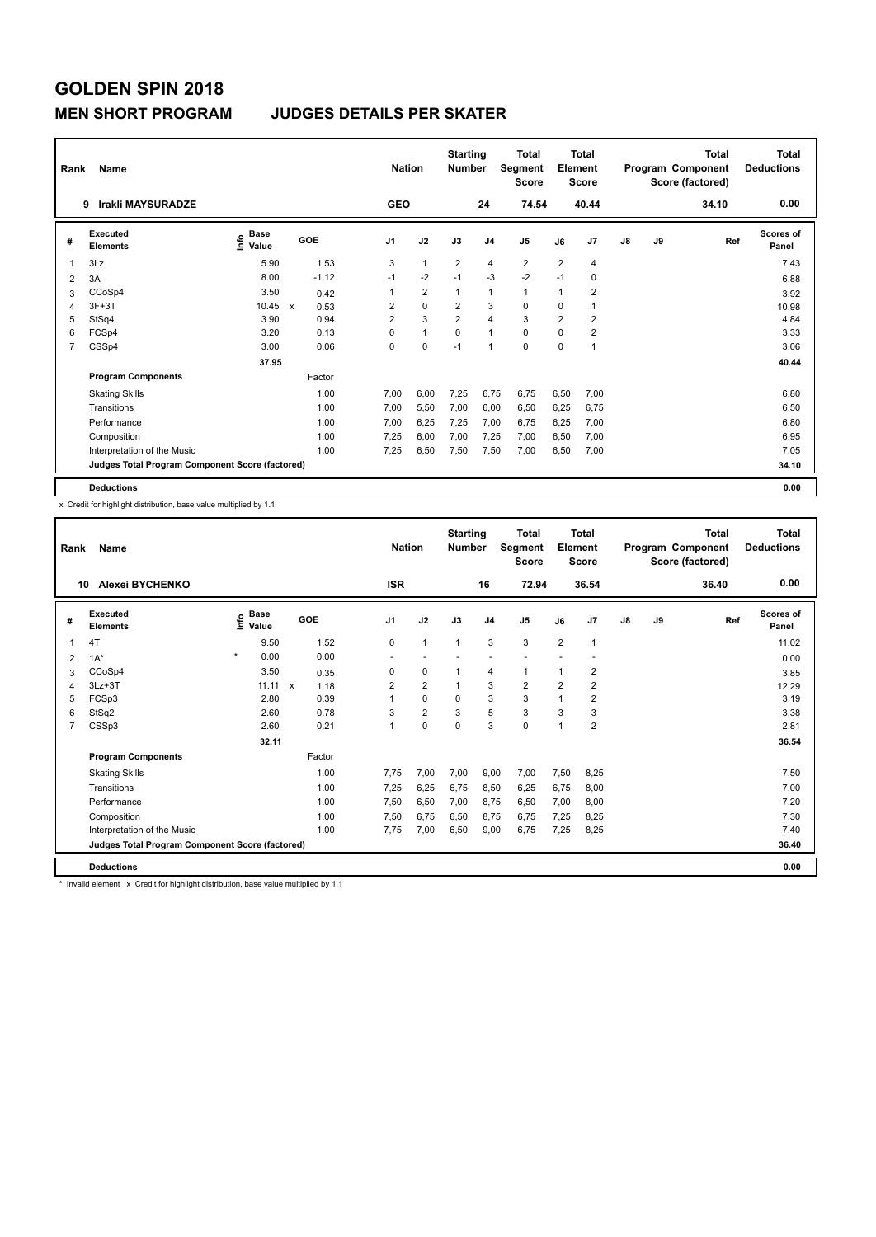#### **MEN SHORT PROGRAM JUDGES DETAILS PER SKATER**

| Rank | Name                                            |                                  |                                   | <b>Nation</b>  |                | <b>Starting</b><br><b>Number</b> |                | <b>Total</b><br>Segment<br><b>Score</b> |                | <b>Total</b><br>Element<br><b>Score</b> |    |    | <b>Total</b><br>Program Component<br>Score (factored) | <b>Total</b><br><b>Deductions</b> |
|------|-------------------------------------------------|----------------------------------|-----------------------------------|----------------|----------------|----------------------------------|----------------|-----------------------------------------|----------------|-----------------------------------------|----|----|-------------------------------------------------------|-----------------------------------|
|      | Irakli MAYSURADZE<br>9                          |                                  |                                   | <b>GEO</b>     |                |                                  | 24             | 74.54                                   |                | 40.44                                   |    |    | 34.10                                                 | 0.00                              |
| #    | <b>Executed</b><br><b>Elements</b>              | <b>Base</b><br>e Base<br>⊆ Value | GOE                               | J <sub>1</sub> | J2             | J3                               | J <sub>4</sub> | J <sub>5</sub>                          | J6             | J7                                      | J8 | J9 | Ref                                                   | <b>Scores of</b><br>Panel         |
| 1    | 3Lz                                             | 5.90                             | 1.53                              | 3              | $\mathbf{1}$   | $\overline{2}$                   | 4              | $\overline{2}$                          | $\overline{2}$ | 4                                       |    |    |                                                       | 7.43                              |
| 2    | 3A                                              | 8.00                             | $-1.12$                           | $-1$           | $-2$           | $-1$                             | $-3$           | $-2$                                    | $-1$           | 0                                       |    |    |                                                       | 6.88                              |
| 3    | CCoSp4                                          | 3.50                             | 0.42                              | 1              | $\overline{2}$ | $\mathbf{1}$                     | 1              | $\mathbf{1}$                            | 1              | 2                                       |    |    |                                                       | 3.92                              |
| 4    | $3F+3T$                                         | 10.45                            | 0.53<br>$\boldsymbol{\mathsf{x}}$ | 2              | $\mathbf 0$    | 2                                | 3              | 0                                       | 0              |                                         |    |    |                                                       | 10.98                             |
| 5    | StSq4                                           | 3.90                             | 0.94                              | $\overline{2}$ | 3              | $\overline{2}$                   | 4              | 3                                       | $\overline{2}$ | 2                                       |    |    |                                                       | 4.84                              |
| 6    | FCSp4                                           | 3.20                             | 0.13                              | 0              | $\mathbf{1}$   | $\Omega$                         | $\overline{1}$ | $\mathbf 0$                             | $\Omega$       | $\overline{2}$                          |    |    |                                                       | 3.33                              |
| 7    | CSSp4                                           | 3.00                             | 0.06                              | 0              | 0              | $-1$                             | $\overline{1}$ | $\mathbf 0$                             | $\mathbf 0$    |                                         |    |    |                                                       | 3.06                              |
|      |                                                 | 37.95                            |                                   |                |                |                                  |                |                                         |                |                                         |    |    |                                                       | 40.44                             |
|      | <b>Program Components</b>                       |                                  | Factor                            |                |                |                                  |                |                                         |                |                                         |    |    |                                                       |                                   |
|      | <b>Skating Skills</b>                           |                                  | 1.00                              | 7,00           | 6,00           | 7,25                             | 6,75           | 6,75                                    | 6,50           | 7,00                                    |    |    |                                                       | 6.80                              |
|      | Transitions                                     |                                  | 1.00                              | 7,00           | 5,50           | 7,00                             | 6,00           | 6,50                                    | 6,25           | 6,75                                    |    |    |                                                       | 6.50                              |
|      | Performance                                     |                                  | 1.00                              | 7.00           | 6.25           | 7.25                             | 7,00           | 6,75                                    | 6,25           | 7,00                                    |    |    |                                                       | 6.80                              |
|      | Composition                                     |                                  | 1.00                              | 7.25           | 6,00           | 7,00                             | 7.25           | 7,00                                    | 6,50           | 7.00                                    |    |    |                                                       | 6.95                              |
|      | Interpretation of the Music                     |                                  | 1.00                              | 7,25           | 6,50           | 7,50                             | 7,50           | 7,00                                    | 6,50           | 7,00                                    |    |    |                                                       | 7.05                              |
|      | Judges Total Program Component Score (factored) |                                  |                                   |                |                |                                  |                |                                         |                |                                         |    |    |                                                       | 34.10                             |
|      | <b>Deductions</b>                               |                                  |                                   |                |                |                                  |                |                                         |                |                                         |    |    |                                                       | 0.00                              |

x Credit for highlight distribution, base value multiplied by 1.1

| Rank           | Name                                            |                                  |                      | <b>Nation</b> |                | <b>Starting</b><br><b>Number</b> |                | <b>Total</b><br>Segment<br><b>Score</b> |                | Total<br>Element<br><b>Score</b> |    |    | Total<br>Program Component<br>Score (factored) | Total<br><b>Deductions</b> |
|----------------|-------------------------------------------------|----------------------------------|----------------------|---------------|----------------|----------------------------------|----------------|-----------------------------------------|----------------|----------------------------------|----|----|------------------------------------------------|----------------------------|
| 10             | Alexei BYCHENKO                                 |                                  |                      | <b>ISR</b>    |                |                                  | 16             | 72.94                                   |                | 36.54                            |    |    | 36.40                                          | 0.00                       |
| #              | Executed<br><b>Elements</b>                     | <b>Base</b><br>e Base<br>⊆ Value | GOE                  | J1            | J2             | J3                               | J <sub>4</sub> | J <sub>5</sub>                          | J6             | J <sub>7</sub>                   | J8 | J9 | Ref                                            | Scores of<br>Panel         |
|                | 4T                                              | 9.50                             | 1.52                 | 0             | $\mathbf{1}$   | $\overline{1}$                   | 3              | 3                                       | $\overline{2}$ | $\mathbf{1}$                     |    |    |                                                | 11.02                      |
| 2              | $1A^*$                                          | $\star$<br>0.00                  | 0.00                 |               |                |                                  |                |                                         |                |                                  |    |    |                                                | 0.00                       |
| 3              | CCoSp4                                          | 3.50                             | 0.35                 | 0             | 0              |                                  | 4              | 1                                       | 1              | 2                                |    |    |                                                | 3.85                       |
| 4              | $3Lz + 3T$                                      | 11.11                            | $\mathsf{x}$<br>1.18 | 2             | $\overline{2}$ |                                  | 3              | $\overline{2}$                          | $\overline{2}$ | $\overline{2}$                   |    |    |                                                | 12.29                      |
| 5              | FCSp3                                           | 2.80                             | 0.39                 |               | 0              | $\Omega$                         | 3              | 3                                       | 1              | $\overline{2}$                   |    |    |                                                | 3.19                       |
| 6              | StSq2                                           | 2.60                             | 0.78                 | 3             | $\overline{2}$ | 3                                | 5              | 3                                       | 3              | 3                                |    |    |                                                | 3.38                       |
| $\overline{7}$ | CSSp3                                           | 2.60                             | 0.21                 |               | $\Omega$       | $\Omega$                         | 3              | 0                                       | 1              | $\overline{2}$                   |    |    |                                                | 2.81                       |
|                |                                                 | 32.11                            |                      |               |                |                                  |                |                                         |                |                                  |    |    |                                                | 36.54                      |
|                | <b>Program Components</b>                       |                                  | Factor               |               |                |                                  |                |                                         |                |                                  |    |    |                                                |                            |
|                | <b>Skating Skills</b>                           |                                  | 1.00                 | 7.75          | 7,00           | 7,00                             | 9,00           | 7,00                                    | 7,50           | 8,25                             |    |    |                                                | 7.50                       |
|                | Transitions                                     |                                  | 1.00                 | 7.25          | 6,25           | 6,75                             | 8,50           | 6,25                                    | 6,75           | 8,00                             |    |    |                                                | 7.00                       |
|                | Performance                                     |                                  | 1.00                 | 7,50          | 6,50           | 7,00                             | 8.75           | 6,50                                    | 7,00           | 8,00                             |    |    |                                                | 7.20                       |
|                | Composition                                     |                                  | 1.00                 | 7,50          | 6,75           | 6,50                             | 8,75           | 6,75                                    | 7,25           | 8,25                             |    |    |                                                | 7.30                       |
|                | Interpretation of the Music                     |                                  | 1.00                 | 7.75          | 7,00           | 6,50                             | 9,00           | 6,75                                    | 7.25           | 8.25                             |    |    |                                                | 7.40                       |
|                | Judges Total Program Component Score (factored) |                                  |                      |               |                |                                  |                |                                         |                |                                  |    |    |                                                | 36.40                      |
|                | <b>Deductions</b>                               |                                  |                      |               |                |                                  |                |                                         |                |                                  |    |    |                                                | 0.00                       |

\* Invalid element x Credit for highlight distribution, base value multiplied by 1.1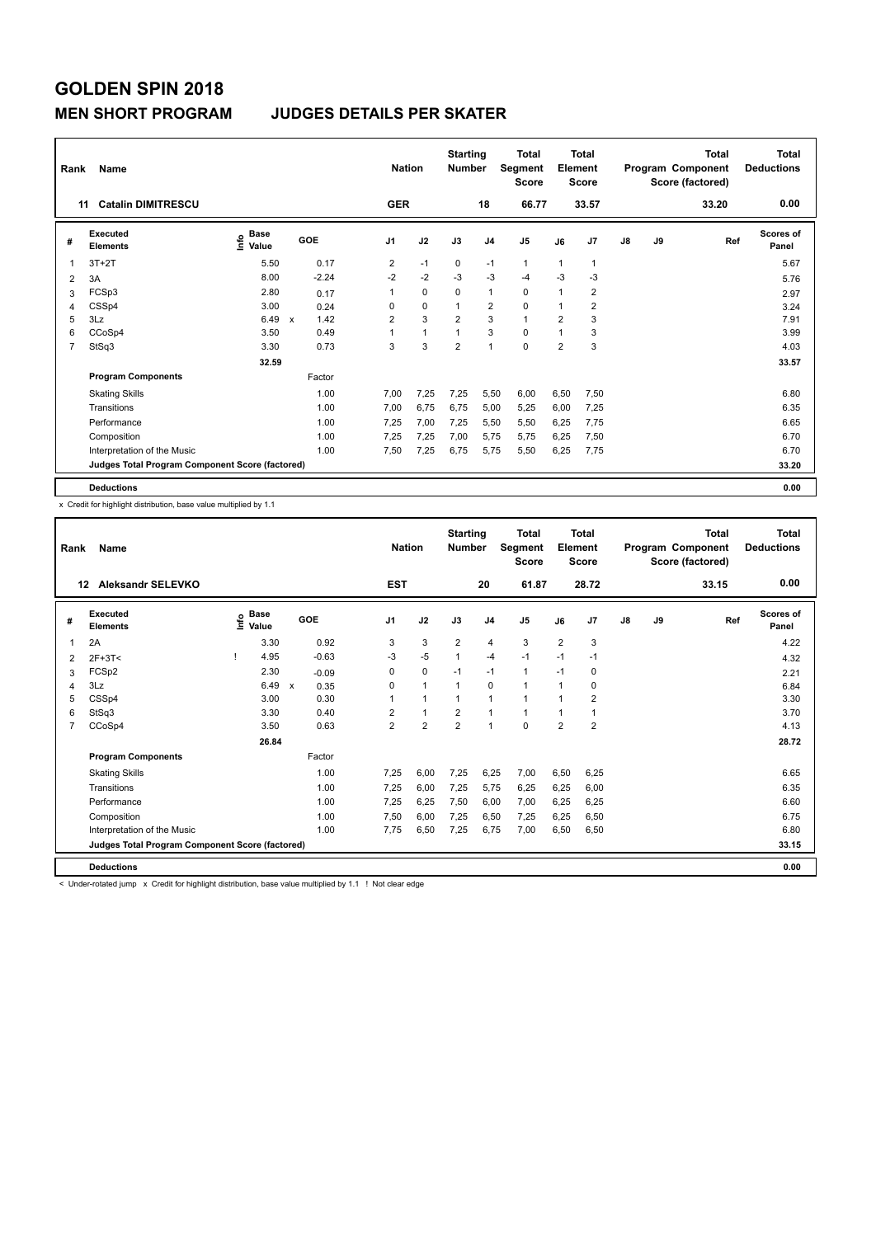#### **MEN SHORT PROGRAM JUDGES DETAILS PER SKATER**

| Rank           | Name                                            |                                  |                           |         |                | <b>Nation</b> | <b>Starting</b><br><b>Number</b> |                | <b>Total</b><br>Segment<br><b>Score</b> |                | <b>Total</b><br>Element<br><b>Score</b> |    |    | <b>Total</b><br>Program Component<br>Score (factored) | <b>Total</b><br><b>Deductions</b> |
|----------------|-------------------------------------------------|----------------------------------|---------------------------|---------|----------------|---------------|----------------------------------|----------------|-----------------------------------------|----------------|-----------------------------------------|----|----|-------------------------------------------------------|-----------------------------------|
|                | <b>Catalin DIMITRESCU</b><br>11                 |                                  |                           |         | <b>GER</b>     |               |                                  | 18             | 66.77                                   |                | 33.57                                   |    |    | 33.20                                                 | 0.00                              |
| #              | <b>Executed</b><br><b>Elements</b>              | <b>Base</b><br>e Base<br>⊆ Value | GOE                       |         | J <sub>1</sub> | J2            | J3                               | J <sub>4</sub> | J <sub>5</sub>                          | J6             | J7                                      | J8 | J9 | Ref                                                   | <b>Scores of</b><br>Panel         |
| 1              | $3T+2T$                                         | 5.50                             |                           | 0.17    | 2              | $-1$          | 0                                | $-1$           | $\mathbf{1}$                            | 1              |                                         |    |    |                                                       | 5.67                              |
| $\overline{2}$ | 3A                                              | 8.00                             |                           | $-2.24$ | $-2$           | $-2$          | $-3$                             | $-3$           | $-4$                                    | $-3$           | $-3$                                    |    |    |                                                       | 5.76                              |
| 3              | FCSp3                                           | 2.80                             |                           | 0.17    | 1              | $\mathbf 0$   | $\Omega$                         | $\mathbf 1$    | $\mathbf 0$                             | 1              | $\overline{2}$                          |    |    |                                                       | 2.97                              |
| 4              | CSSp4                                           | 3.00                             |                           | 0.24    | 0              | $\mathbf 0$   | 1                                | 2              | $\mathbf 0$                             | $\mathbf{1}$   | 2                                       |    |    |                                                       | 3.24                              |
| 5              | 3Lz                                             | 6.49                             | $\boldsymbol{\mathsf{x}}$ | 1.42    | $\overline{2}$ | 3             | $\overline{2}$                   | 3              | $\mathbf{1}$                            | $\overline{2}$ | 3                                       |    |    |                                                       | 7.91                              |
| 6              | CCoSp4                                          | 3.50                             |                           | 0.49    | 1              | $\mathbf{1}$  | 1                                | 3              | $\mathbf 0$                             | $\mathbf{1}$   | 3                                       |    |    |                                                       | 3.99                              |
| 7              | StSq3                                           | 3.30                             |                           | 0.73    | 3              | 3             | $\overline{2}$                   | $\overline{1}$ | $\mathbf 0$                             | $\overline{2}$ | 3                                       |    |    |                                                       | 4.03                              |
|                |                                                 | 32.59                            |                           |         |                |               |                                  |                |                                         |                |                                         |    |    |                                                       | 33.57                             |
|                | <b>Program Components</b>                       |                                  |                           | Factor  |                |               |                                  |                |                                         |                |                                         |    |    |                                                       |                                   |
|                | <b>Skating Skills</b>                           |                                  |                           | 1.00    | 7,00           | 7,25          | 7,25                             | 5,50           | 6,00                                    | 6,50           | 7,50                                    |    |    |                                                       | 6.80                              |
|                | Transitions                                     |                                  |                           | 1.00    | 7,00           | 6,75          | 6,75                             | 5,00           | 5,25                                    | 6,00           | 7,25                                    |    |    |                                                       | 6.35                              |
|                | Performance                                     |                                  |                           | 1.00    | 7.25           | 7,00          | 7.25                             | 5,50           | 5,50                                    | 6,25           | 7,75                                    |    |    |                                                       | 6.65                              |
|                | Composition                                     |                                  |                           | 1.00    | 7.25           | 7,25          | 7,00                             | 5.75           | 5,75                                    | 6,25           | 7,50                                    |    |    |                                                       | 6.70                              |
|                | Interpretation of the Music                     |                                  |                           | 1.00    | 7,50           | 7,25          | 6,75                             | 5,75           | 5,50                                    | 6,25           | 7,75                                    |    |    |                                                       | 6.70                              |
|                | Judges Total Program Component Score (factored) |                                  |                           |         |                |               |                                  |                |                                         |                |                                         |    |    |                                                       | 33.20                             |
|                | <b>Deductions</b>                               |                                  |                           |         |                |               |                                  |                |                                         |                |                                         |    |    |                                                       | 0.00                              |

x Credit for highlight distribution, base value multiplied by 1.1

| Rank | Name                                            |      |                      |                      |                | <b>Nation</b>        | <b>Starting</b><br><b>Number</b> |                | <b>Total</b><br>Segment<br><b>Score</b> |                | Total<br>Element<br><b>Score</b> |    |    | Total<br>Program Component<br>Score (factored) | <b>Total</b><br><b>Deductions</b> |
|------|-------------------------------------------------|------|----------------------|----------------------|----------------|----------------------|----------------------------------|----------------|-----------------------------------------|----------------|----------------------------------|----|----|------------------------------------------------|-----------------------------------|
| 12   | <b>Aleksandr SELEVKO</b>                        |      |                      |                      | <b>EST</b>     |                      |                                  | 20             | 61.87                                   |                | 28.72                            |    |    | 33.15                                          | 0.00                              |
| #    | <b>Executed</b><br><b>Elements</b>              | ١nf٥ | <b>Base</b><br>Value | GOE                  | J1             | J2                   | J3                               | J <sub>4</sub> | J <sub>5</sub>                          | J6             | J <sub>7</sub>                   | J8 | J9 | Ref                                            | <b>Scores of</b><br>Panel         |
| 1    | 2A                                              |      | 3.30                 | 0.92                 | 3              | 3                    | $\overline{2}$                   | 4              | 3                                       | $\overline{2}$ | 3                                |    |    |                                                | 4.22                              |
| 2    | 2F+3T<                                          |      | 4.95                 | $-0.63$              | $-3$           | $-5$                 | 1                                | $-4$           | $-1$                                    | $-1$           | $-1$                             |    |    |                                                | 4.32                              |
| 3    | FCSp2                                           |      | 2.30                 | $-0.09$              | 0              | 0                    | $-1$                             | $-1$           | 1                                       | $-1$           | 0                                |    |    |                                                | 2.21                              |
| 4    | 3Lz                                             |      | 6.49                 | $\mathsf{x}$<br>0.35 | 0              | $\mathbf{1}$         | $\mathbf 1$                      | $\Omega$       | 1                                       | 1              | 0                                |    |    |                                                | 6.84                              |
| 5    | CSSp4                                           |      | 3.00                 | 0.30                 |                | $\blacktriangleleft$ | 1                                | 1              | 1                                       | $\overline{1}$ | $\overline{2}$                   |    |    |                                                | 3.30                              |
| 6    | StSq3                                           |      | 3.30                 | 0.40                 | 2              | $\overline{1}$       | $\overline{2}$                   | 1              | 1                                       | 1              | 1                                |    |    |                                                | 3.70                              |
| 7    | CCoSp4                                          |      | 3.50                 | 0.63                 | $\overline{2}$ | $\overline{2}$       | $\overline{2}$                   | $\overline{1}$ | $\Omega$                                | $\overline{2}$ | $\overline{2}$                   |    |    |                                                | 4.13                              |
|      |                                                 |      | 26.84                |                      |                |                      |                                  |                |                                         |                |                                  |    |    |                                                | 28.72                             |
|      | <b>Program Components</b>                       |      |                      | Factor               |                |                      |                                  |                |                                         |                |                                  |    |    |                                                |                                   |
|      | <b>Skating Skills</b>                           |      |                      | 1.00                 | 7.25           | 6.00                 | 7.25                             | 6,25           | 7,00                                    | 6,50           | 6,25                             |    |    |                                                | 6.65                              |
|      | Transitions                                     |      |                      | 1.00                 | 7,25           | 6,00                 | 7,25                             | 5,75           | 6,25                                    | 6,25           | 6,00                             |    |    |                                                | 6.35                              |
|      | Performance                                     |      |                      | 1.00                 | 7.25           | 6,25                 | 7,50                             | 6,00           | 7,00                                    | 6,25           | 6,25                             |    |    |                                                | 6.60                              |
|      | Composition                                     |      |                      | 1.00                 | 7,50           | 6,00                 | 7,25                             | 6,50           | 7,25                                    | 6,25           | 6,50                             |    |    |                                                | 6.75                              |
|      | Interpretation of the Music                     |      |                      | 1.00                 | 7.75           | 6.50                 | 7.25                             | 6.75           | 7.00                                    | 6.50           | 6.50                             |    |    |                                                | 6.80                              |
|      | Judges Total Program Component Score (factored) |      |                      |                      |                |                      |                                  |                |                                         |                |                                  |    |    |                                                | 33.15                             |
|      | <b>Deductions</b>                               |      |                      |                      |                |                      |                                  |                |                                         |                |                                  |    |    |                                                | 0.00                              |

< Under-rotated jump x Credit for highlight distribution, base value multiplied by 1.1 ! Not clear edge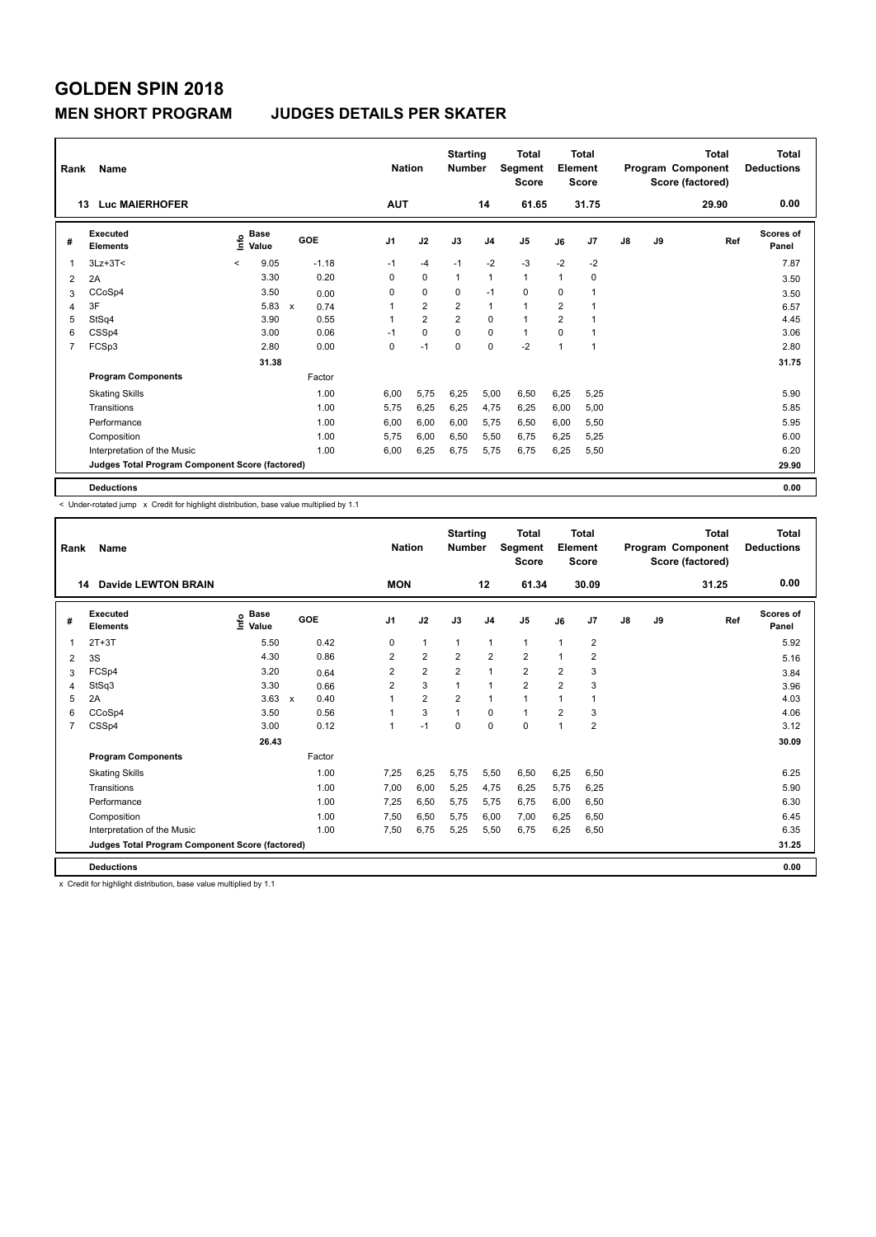#### **MEN SHORT PROGRAM JUDGES DETAILS PER SKATER**

| Rank | Name                                            |         |                                  |              |            |                | <b>Nation</b> |                | <b>Starting</b><br><b>Number</b> |                | <b>Total</b><br>Segment<br><b>Score</b> |                | <b>Total</b><br>Element<br><b>Score</b> |               |    | <b>Total</b><br>Program Component<br>Score (factored) | <b>Total</b><br><b>Deductions</b> |
|------|-------------------------------------------------|---------|----------------------------------|--------------|------------|----------------|---------------|----------------|----------------------------------|----------------|-----------------------------------------|----------------|-----------------------------------------|---------------|----|-------------------------------------------------------|-----------------------------------|
|      | <b>Luc MAIERHOFER</b><br>13                     |         |                                  |              |            |                | <b>AUT</b>    |                |                                  | 14             | 61.65                                   |                | 31.75                                   |               |    | 29.90                                                 | 0.00                              |
| #    | <b>Executed</b><br><b>Elements</b>              |         | <b>Base</b><br>e Base<br>⊆ Value |              | <b>GOE</b> | J <sub>1</sub> |               | J2             | J3                               | J <sub>4</sub> | J5                                      | J6             | J7                                      | $\mathsf{J}8$ | J9 | Ref                                                   | <b>Scores of</b><br>Panel         |
| 1    | $3Lz + 3T <$                                    | $\prec$ | 9.05                             |              | $-1.18$    | $-1$           |               | $-4$           | $-1$                             | $-2$           | $-3$                                    | $-2$           | $-2$                                    |               |    |                                                       | 7.87                              |
| 2    | 2A                                              |         | 3.30                             |              | 0.20       | 0              |               | $\pmb{0}$      | $\mathbf{1}$                     | $\mathbf{1}$   | $\mathbf{1}$                            | $\mathbf{1}$   | $\mathbf 0$                             |               |    |                                                       | 3.50                              |
| 3    | CCoSp4                                          |         | 3.50                             |              | 0.00       | 0              |               | $\mathbf 0$    | 0                                | $-1$           | $\mathbf 0$                             | 0              | 1                                       |               |    |                                                       | 3.50                              |
| 4    | 3F                                              |         | 5.83                             | $\mathsf{x}$ | 0.74       | 1              |               | $\overline{2}$ | $\overline{2}$                   | $\mathbf{1}$   | $\mathbf{1}$                            | $\overline{2}$ | 1                                       |               |    |                                                       | 6.57                              |
| 5    | StSq4                                           |         | 3.90                             |              | 0.55       | 1              |               | $\overline{2}$ | $\overline{2}$                   | $\mathbf 0$    | $\blacktriangleleft$                    | $\overline{2}$ | 1                                       |               |    |                                                       | 4.45                              |
| 6    | CSSp4                                           |         | 3.00                             |              | 0.06       | $-1$           |               | $\mathbf 0$    | $\Omega$                         | $\mathbf 0$    | $\mathbf{1}$                            | $\Omega$       | 1                                       |               |    |                                                       | 3.06                              |
| 7    | FCSp3                                           |         | 2.80                             |              | 0.00       | 0              |               | $-1$           | 0                                | $\mathbf 0$    | $-2$                                    | $\mathbf{1}$   | 1                                       |               |    |                                                       | 2.80                              |
|      |                                                 |         | 31.38                            |              |            |                |               |                |                                  |                |                                         |                |                                         |               |    |                                                       | 31.75                             |
|      | <b>Program Components</b>                       |         |                                  |              | Factor     |                |               |                |                                  |                |                                         |                |                                         |               |    |                                                       |                                   |
|      | <b>Skating Skills</b>                           |         |                                  |              | 1.00       | 6.00           |               | 5.75           | 6.25                             | 5,00           | 6,50                                    | 6,25           | 5,25                                    |               |    |                                                       | 5.90                              |
|      | Transitions                                     |         |                                  |              | 1.00       | 5.75           |               | 6,25           | 6,25                             | 4,75           | 6,25                                    | 6,00           | 5,00                                    |               |    |                                                       | 5.85                              |
|      | Performance                                     |         |                                  |              | 1.00       | 6.00           |               | 6,00           | 6,00                             | 5,75           | 6,50                                    | 6,00           | 5,50                                    |               |    |                                                       | 5.95                              |
|      | Composition                                     |         |                                  |              | 1.00       | 5.75           |               | 6,00           | 6,50                             | 5,50           | 6,75                                    | 6,25           | 5,25                                    |               |    |                                                       | 6.00                              |
|      | Interpretation of the Music                     |         |                                  |              | 1.00       | 6,00           |               | 6,25           | 6,75                             | 5,75           | 6,75                                    | 6,25           | 5,50                                    |               |    |                                                       | 6.20                              |
|      | Judges Total Program Component Score (factored) |         |                                  |              |            |                |               |                |                                  |                |                                         |                |                                         |               |    |                                                       | 29.90                             |
|      | <b>Deductions</b>                               |         |                                  |              |            |                |               |                |                                  |                |                                         |                |                                         |               |    |                                                       | 0.00                              |

-<br>< Under-rotated jump x Credit for highlight distribution, base value multiplied by 1.1

| Rank           | Name                                            |                                  |                      | <b>Nation</b>  |                | <b>Starting</b><br><b>Number</b> |                | <b>Total</b><br>Segment<br><b>Score</b> |                | Total<br>Element<br><b>Score</b> |    |    | Total<br>Program Component<br>Score (factored) | <b>Total</b><br><b>Deductions</b> |
|----------------|-------------------------------------------------|----------------------------------|----------------------|----------------|----------------|----------------------------------|----------------|-----------------------------------------|----------------|----------------------------------|----|----|------------------------------------------------|-----------------------------------|
|                | <b>Davide LEWTON BRAIN</b><br>14                |                                  |                      | <b>MON</b>     |                |                                  | 12             | 61.34                                   |                | 30.09                            |    |    | 31.25                                          | 0.00                              |
| #              | Executed<br><b>Elements</b>                     | <b>Base</b><br>e Base<br>⊆ Value | GOE                  | J1             | J2             | J3                               | J <sub>4</sub> | J5                                      | J6             | J <sub>7</sub>                   | J8 | J9 | Ref                                            | <b>Scores of</b><br>Panel         |
|                | $2T+3T$                                         | 5.50                             | 0.42                 | 0              | $\mathbf{1}$   | 1                                | $\mathbf{1}$   | $\mathbf{1}$                            | $\overline{1}$ | $\overline{2}$                   |    |    |                                                | 5.92                              |
| 2              | 3S                                              | 4.30                             | 0.86                 | 2              | $\overline{2}$ | $\overline{2}$                   | $\overline{2}$ | $\overline{2}$                          | $\overline{1}$ | $\overline{2}$                   |    |    |                                                | 5.16                              |
| 3              | FCSp4                                           | 3.20                             | 0.64                 | 2              | $\overline{2}$ | $\overline{2}$                   | 1              | $\overline{2}$                          | $\overline{2}$ | 3                                |    |    |                                                | 3.84                              |
| 4              | StSq3                                           | 3.30                             | 0.66                 | $\overline{2}$ | 3              |                                  | 1              | $\overline{2}$                          | $\overline{2}$ | 3                                |    |    |                                                | 3.96                              |
| 5              | 2A                                              | 3.63                             | 0.40<br>$\mathsf{x}$ |                | $\overline{2}$ | $\overline{2}$                   | $\mathbf{1}$   | 1                                       | $\overline{1}$ | $\overline{1}$                   |    |    |                                                | 4.03                              |
| 6              | CCoSp4                                          | 3.50                             | 0.56                 |                | 3              | 1                                | 0              | $\mathbf{1}$                            | $\overline{2}$ | 3                                |    |    |                                                | 4.06                              |
| $\overline{7}$ | CSSp4                                           | 3.00                             | 0.12                 |                | $-1$           | $\Omega$                         | 0              | 0                                       | 1              | $\overline{2}$                   |    |    |                                                | 3.12                              |
|                |                                                 | 26.43                            |                      |                |                |                                  |                |                                         |                |                                  |    |    |                                                | 30.09                             |
|                | <b>Program Components</b>                       |                                  | Factor               |                |                |                                  |                |                                         |                |                                  |    |    |                                                |                                   |
|                | <b>Skating Skills</b>                           |                                  | 1.00                 | 7,25           | 6,25           | 5,75                             | 5,50           | 6,50                                    | 6,25           | 6,50                             |    |    |                                                | 6.25                              |
|                | Transitions                                     |                                  | 1.00                 | 7.00           | 6,00           | 5,25                             | 4,75           | 6,25                                    | 5,75           | 6,25                             |    |    |                                                | 5.90                              |
|                | Performance                                     |                                  | 1.00                 | 7.25           | 6,50           | 5,75                             | 5,75           | 6,75                                    | 6,00           | 6,50                             |    |    |                                                | 6.30                              |
|                | Composition                                     |                                  | 1.00                 | 7,50           | 6,50           | 5,75                             | 6,00           | 7,00                                    | 6,25           | 6,50                             |    |    |                                                | 6.45                              |
|                | Interpretation of the Music                     |                                  | 1.00                 | 7.50           | 6.75           | 5,25                             | 5,50           | 6,75                                    | 6.25           | 6,50                             |    |    |                                                | 6.35                              |
|                | Judges Total Program Component Score (factored) |                                  |                      |                |                |                                  |                |                                         |                |                                  |    |    |                                                | 31.25                             |
|                | <b>Deductions</b>                               |                                  |                      |                |                |                                  |                |                                         |                |                                  |    |    |                                                | 0.00                              |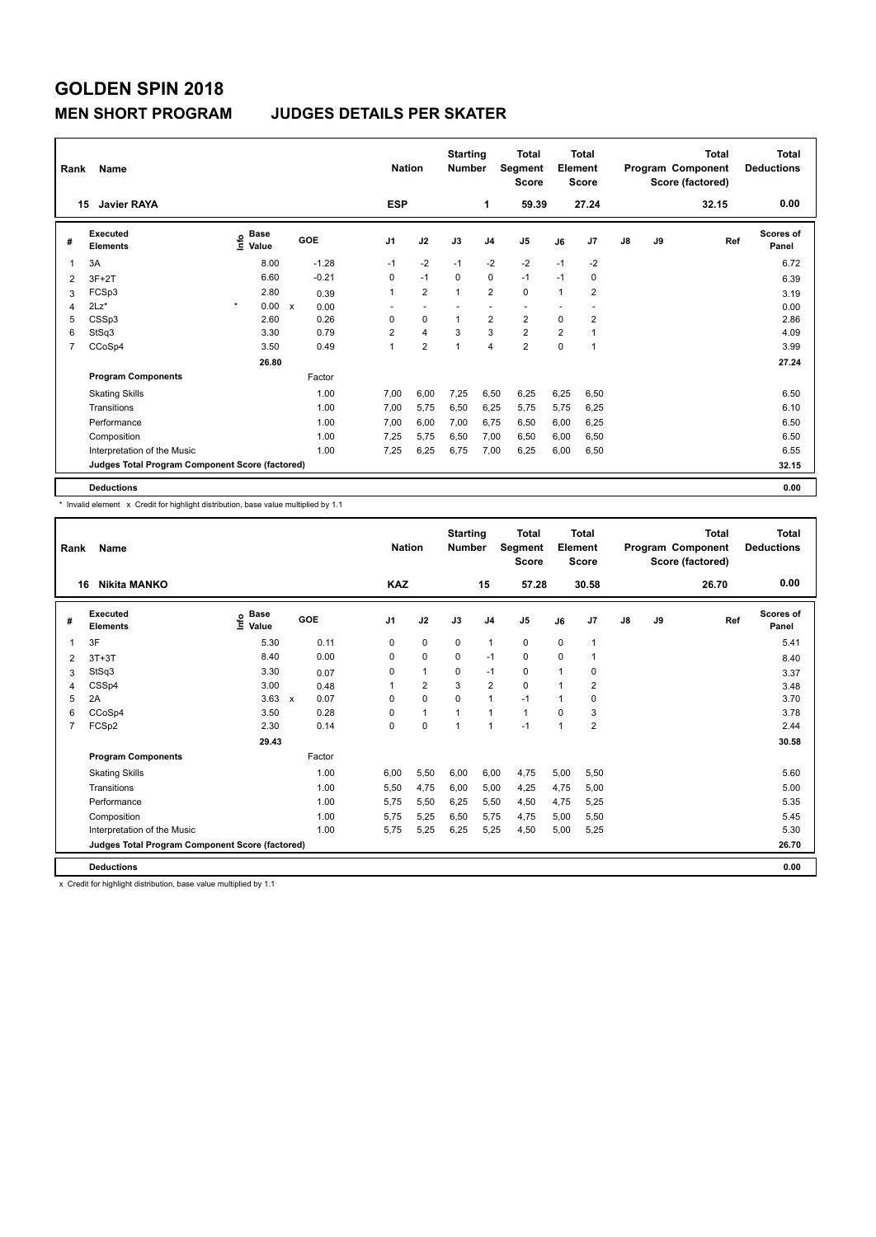#### **MEN SHORT PROGRAM JUDGES DETAILS PER SKATER**

| Rank | Name                                            |                           |                      | <b>Nation</b>  |                | <b>Starting</b><br>Number |                | <b>Total</b><br>Segment<br><b>Score</b> |                | <b>Total</b><br>Element<br><b>Score</b> |               |    | <b>Total</b><br>Program Component<br>Score (factored) | Total<br><b>Deductions</b> |
|------|-------------------------------------------------|---------------------------|----------------------|----------------|----------------|---------------------------|----------------|-----------------------------------------|----------------|-----------------------------------------|---------------|----|-------------------------------------------------------|----------------------------|
|      | <b>Javier RAYA</b><br>15                        |                           |                      | <b>ESP</b>     |                |                           | 1              | 59.39                                   |                | 27.24                                   |               |    | 32.15                                                 | 0.00                       |
| #    | <b>Executed</b><br><b>Elements</b>              | Base<br>e Base<br>⊆ Value | GOE                  | J <sub>1</sub> | J2             | J3                        | J <sub>4</sub> | J5                                      | J6             | J7                                      | $\mathsf{J}8$ | J9 | Ref                                                   | <b>Scores of</b><br>Panel  |
| 1    | 3A                                              | 8.00                      | $-1.28$              | $-1$           | $-2$           | $-1$                      | $-2$           | $-2$                                    | $-1$           | $-2$                                    |               |    |                                                       | 6.72                       |
| 2    | $3F+2T$                                         | 6.60                      | $-0.21$              | 0              | $-1$           | $\Omega$                  | 0              | $-1$                                    | $-1$           | 0                                       |               |    |                                                       | 6.39                       |
| 3    | FCSp3                                           | 2.80                      | 0.39                 | 1              | $\overline{2}$ | 1                         | $\overline{2}$ | $\mathbf 0$                             | $\mathbf{1}$   | $\overline{2}$                          |               |    |                                                       | 3.19                       |
| 4    | $2Lz$ *                                         | $\star$<br>0.00           | $\mathsf{x}$<br>0.00 |                |                |                           |                |                                         |                |                                         |               |    |                                                       | 0.00                       |
| 5    | CSSp3                                           | 2.60                      | 0.26                 | 0              | $\mathbf 0$    | $\overline{1}$            | $\overline{2}$ | $\overline{2}$                          | $\mathbf 0$    | $\overline{2}$                          |               |    |                                                       | 2.86                       |
| 6    | StSq3                                           | 3.30                      | 0.79                 | 2              | 4              | 3                         | 3              | $\overline{2}$                          | $\overline{2}$ | 1                                       |               |    |                                                       | 4.09                       |
| 7    | CCoSp4                                          | 3.50                      | 0.49                 | $\mathbf{1}$   | $\overline{2}$ | 1                         | $\overline{4}$ | $\overline{2}$                          | $\mathbf 0$    | 1                                       |               |    |                                                       | 3.99                       |
|      |                                                 | 26.80                     |                      |                |                |                           |                |                                         |                |                                         |               |    |                                                       | 27.24                      |
|      | <b>Program Components</b>                       |                           | Factor               |                |                |                           |                |                                         |                |                                         |               |    |                                                       |                            |
|      | <b>Skating Skills</b>                           |                           | 1.00                 | 7,00           | 6,00           | 7,25                      | 6,50           | 6,25                                    | 6,25           | 6,50                                    |               |    |                                                       | 6.50                       |
|      | Transitions                                     |                           | 1.00                 | 7,00           | 5,75           | 6,50                      | 6,25           | 5,75                                    | 5,75           | 6,25                                    |               |    |                                                       | 6.10                       |
|      | Performance                                     |                           | 1.00                 | 7,00           | 6,00           | 7,00                      | 6,75           | 6,50                                    | 6,00           | 6,25                                    |               |    |                                                       | 6.50                       |
|      | Composition                                     |                           | 1.00                 | 7.25           | 5,75           | 6,50                      | 7,00           | 6,50                                    | 6,00           | 6,50                                    |               |    |                                                       | 6.50                       |
|      | Interpretation of the Music                     |                           | 1.00                 | 7,25           | 6,25           | 6,75                      | 7,00           | 6,25                                    | 6,00           | 6,50                                    |               |    |                                                       | 6.55                       |
|      | Judges Total Program Component Score (factored) |                           |                      |                |                |                           |                |                                         |                |                                         |               |    |                                                       | 32.15                      |
|      | <b>Deductions</b>                               |                           |                      |                |                |                           |                |                                         |                |                                         |               |    |                                                       | 0.00                       |

\* Invalid element x Credit for highlight distribution, base value multiplied by 1.1

| Rank           | Name                                            |                                           |                      | <b>Nation</b> |                | <b>Starting</b><br><b>Number</b> |                | <b>Total</b><br>Segment<br><b>Score</b> |              | <b>Total</b><br>Element<br><b>Score</b> |               |    | <b>Total</b><br>Program Component<br>Score (factored) | <b>Total</b><br><b>Deductions</b> |
|----------------|-------------------------------------------------|-------------------------------------------|----------------------|---------------|----------------|----------------------------------|----------------|-----------------------------------------|--------------|-----------------------------------------|---------------|----|-------------------------------------------------------|-----------------------------------|
| 16             | <b>Nikita MANKO</b>                             |                                           |                      | <b>KAZ</b>    |                |                                  | 15             | 57.28                                   |              | 30.58                                   |               |    | 26.70                                                 | 0.00                              |
| #              | Executed<br><b>Elements</b>                     | $\frac{e}{E}$ Base<br>$\frac{E}{E}$ Value | GOE                  | J1            | J2             | J3                               | J <sub>4</sub> | J5                                      | J6           | J <sub>7</sub>                          | $\mathsf{J}8$ | J9 | Ref                                                   | Scores of<br>Panel                |
| 1              | 3F                                              | 5.30                                      | 0.11                 | 0             | $\mathbf 0$    | $\mathbf 0$                      | $\mathbf{1}$   | 0                                       | 0            | $\overline{1}$                          |               |    |                                                       | 5.41                              |
| 2              | $3T+3T$                                         | 8.40                                      | 0.00                 | $\Omega$      | 0              | 0                                | $-1$           | 0                                       | 0            | 1                                       |               |    |                                                       | 8.40                              |
| 3              | StSq3                                           | 3.30                                      | 0.07                 | 0             | $\mathbf{1}$   | 0                                | $-1$           | 0                                       | 1            | 0                                       |               |    |                                                       | 3.37                              |
| 4              | CSSp4                                           | 3.00                                      | 0.48                 |               | $\overline{2}$ | 3                                | $\overline{2}$ | $\Omega$                                | $\mathbf{1}$ | $\overline{2}$                          |               |    |                                                       | 3.48                              |
| 5              | 2A                                              | 3.63                                      | 0.07<br>$\mathsf{x}$ | 0             | $\mathbf 0$    | $\Omega$                         | 1              | $-1$                                    | 1            | 0                                       |               |    |                                                       | 3.70                              |
| 6              | CCoSp4                                          | 3.50                                      | 0.28                 | 0             | 1              |                                  | 1              | 1                                       | $\Omega$     | 3                                       |               |    |                                                       | 3.78                              |
| $\overline{7}$ | FCSp2                                           | 2.30                                      | 0.14                 | 0             | $\mathbf 0$    | $\overline{1}$                   | $\mathbf{1}$   | $-1$                                    | $\mathbf 1$  | $\overline{2}$                          |               |    |                                                       | 2.44                              |
|                |                                                 | 29.43                                     |                      |               |                |                                  |                |                                         |              |                                         |               |    |                                                       | 30.58                             |
|                | <b>Program Components</b>                       |                                           | Factor               |               |                |                                  |                |                                         |              |                                         |               |    |                                                       |                                   |
|                | <b>Skating Skills</b>                           |                                           | 1.00                 | 6.00          | 5,50           | 6,00                             | 6,00           | 4,75                                    | 5,00         | 5,50                                    |               |    |                                                       | 5.60                              |
|                | Transitions                                     |                                           | 1.00                 | 5,50          | 4,75           | 6,00                             | 5,00           | 4,25                                    | 4,75         | 5,00                                    |               |    |                                                       | 5.00                              |
|                | Performance                                     |                                           | 1.00                 | 5.75          | 5,50           | 6,25                             | 5,50           | 4,50                                    | 4.75         | 5,25                                    |               |    |                                                       | 5.35                              |
|                | Composition                                     |                                           | 1.00                 | 5,75          | 5,25           | 6,50                             | 5,75           | 4,75                                    | 5,00         | 5,50                                    |               |    |                                                       | 5.45                              |
|                | Interpretation of the Music                     |                                           | 1.00                 | 5.75          | 5,25           | 6,25                             | 5,25           | 4,50                                    | 5.00         | 5.25                                    |               |    |                                                       | 5.30                              |
|                | Judges Total Program Component Score (factored) |                                           |                      |               |                |                                  |                |                                         |              |                                         |               |    |                                                       | 26.70                             |
|                | <b>Deductions</b>                               |                                           |                      |               |                |                                  |                |                                         |              |                                         |               |    |                                                       | 0.00                              |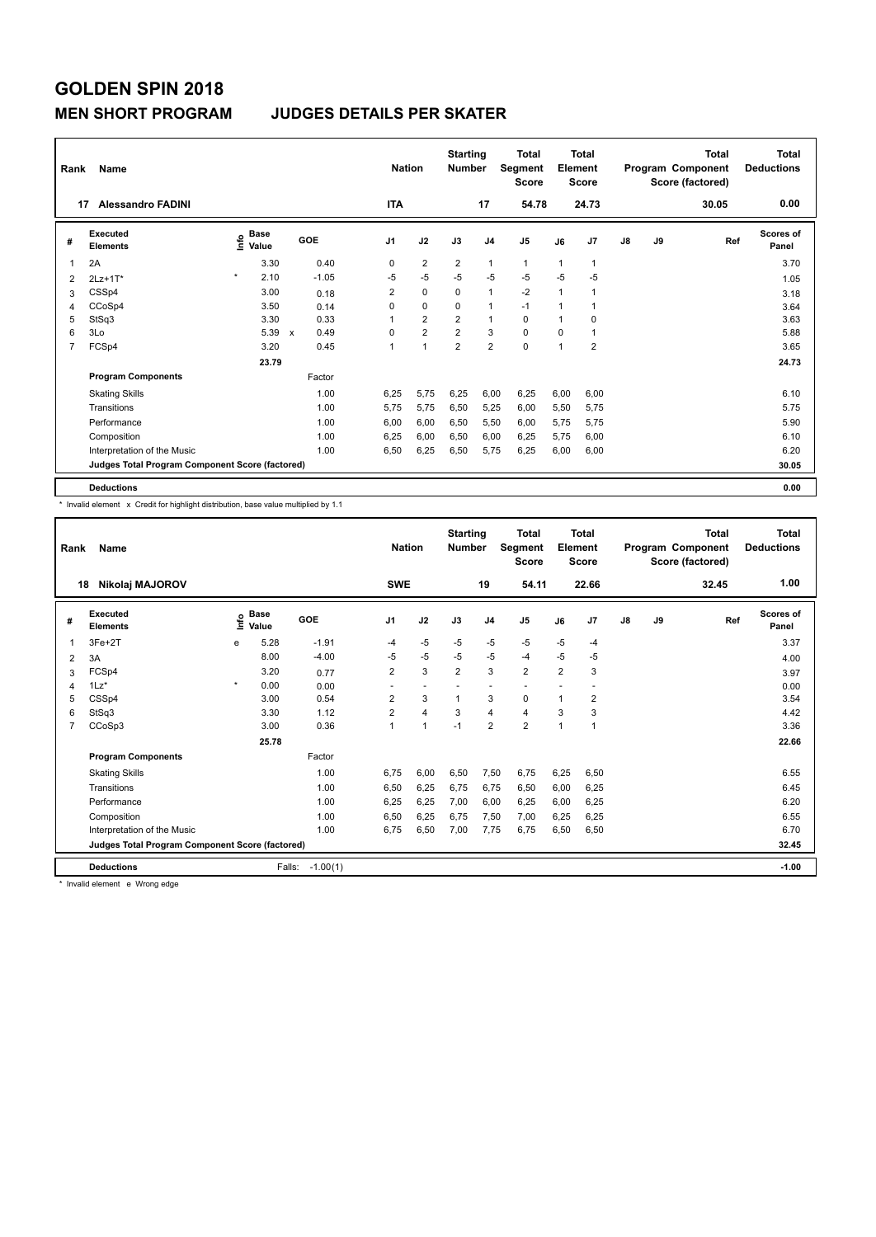#### **MEN SHORT PROGRAM JUDGES DETAILS PER SKATER**

| Rank | Name                                            |                                  |                                   | <b>Nation</b>  |                | <b>Starting</b><br><b>Number</b> |                | <b>Total</b><br>Segment<br><b>Score</b> |              | <b>Total</b><br>Element<br><b>Score</b> |               |    | <b>Total</b><br>Program Component<br>Score (factored) | <b>Total</b><br><b>Deductions</b> |
|------|-------------------------------------------------|----------------------------------|-----------------------------------|----------------|----------------|----------------------------------|----------------|-----------------------------------------|--------------|-----------------------------------------|---------------|----|-------------------------------------------------------|-----------------------------------|
|      | <b>Alessandro FADINI</b><br>17                  |                                  |                                   | <b>ITA</b>     |                |                                  | 17             | 54.78                                   |              | 24.73                                   |               |    | 30.05                                                 | 0.00                              |
| #    | <b>Executed</b><br><b>Elements</b>              | <b>Base</b><br>e Base<br>⊆ Value | GOE                               | J <sub>1</sub> | J2             | J3                               | J <sub>4</sub> | J <sub>5</sub>                          | J6           | J7                                      | $\mathsf{J}8$ | J9 | Ref                                                   | <b>Scores of</b><br>Panel         |
| 1    | 2A                                              | 3.30                             | 0.40                              | 0              | $\overline{2}$ | $\overline{2}$                   | $\overline{1}$ | $\mathbf{1}$                            | 1            |                                         |               |    |                                                       | 3.70                              |
| 2    | $2Lz+1T*$                                       | $\star$<br>2.10                  | $-1.05$                           | $-5$           | $-5$           | $-5$                             | $-5$           | $-5$                                    | $-5$         | $-5$                                    |               |    |                                                       | 1.05                              |
| 3    | CSSp4                                           | 3.00                             | 0.18                              | $\overline{2}$ | $\mathbf 0$    | $\Omega$                         | $\mathbf{1}$   | $-2$                                    | $\mathbf{1}$ |                                         |               |    |                                                       | 3.18                              |
| 4    | CCoSp4                                          | 3.50                             | 0.14                              | 0              | $\mathbf 0$    | $\Omega$                         | $\mathbf{1}$   | $-1$                                    | $\mathbf{1}$ |                                         |               |    |                                                       | 3.64                              |
| 5    | StSq3                                           | 3.30                             | 0.33                              | 1              | $\overline{2}$ | $\overline{2}$                   | $\mathbf{1}$   | 0                                       | $\mathbf{1}$ | $\Omega$                                |               |    |                                                       | 3.63                              |
| 6    | 3Lo                                             | 5.39                             | 0.49<br>$\boldsymbol{\mathsf{x}}$ | 0              | $\overline{2}$ | $\overline{2}$                   | 3              | $\mathbf 0$                             | $\mathbf 0$  |                                         |               |    |                                                       | 5.88                              |
| 7    | FCSp4                                           | 3.20                             | 0.45                              | 1              | 1              | $\overline{2}$                   | $\overline{2}$ | $\mathbf 0$                             | $\mathbf{1}$ | $\overline{\mathbf{c}}$                 |               |    |                                                       | 3.65                              |
|      |                                                 | 23.79                            |                                   |                |                |                                  |                |                                         |              |                                         |               |    |                                                       | 24.73                             |
|      | <b>Program Components</b>                       |                                  | Factor                            |                |                |                                  |                |                                         |              |                                         |               |    |                                                       |                                   |
|      | <b>Skating Skills</b>                           |                                  | 1.00                              | 6,25           | 5,75           | 6,25                             | 6,00           | 6,25                                    | 6,00         | 6,00                                    |               |    |                                                       | 6.10                              |
|      | Transitions                                     |                                  | 1.00                              | 5,75           | 5,75           | 6,50                             | 5,25           | 6,00                                    | 5,50         | 5,75                                    |               |    |                                                       | 5.75                              |
|      | Performance                                     |                                  | 1.00                              | 6.00           | 6.00           | 6,50                             | 5,50           | 6,00                                    | 5,75         | 5,75                                    |               |    |                                                       | 5.90                              |
|      | Composition                                     |                                  | 1.00                              | 6.25           | 6,00           | 6,50                             | 6.00           | 6,25                                    | 5,75         | 6,00                                    |               |    |                                                       | 6.10                              |
|      | Interpretation of the Music                     |                                  | 1.00                              | 6,50           | 6,25           | 6,50                             | 5,75           | 6,25                                    | 6,00         | 6,00                                    |               |    |                                                       | 6.20                              |
|      | Judges Total Program Component Score (factored) |                                  |                                   |                |                |                                  |                |                                         |              |                                         |               |    |                                                       | 30.05                             |
|      | <b>Deductions</b>                               |                                  |                                   |                |                |                                  |                |                                         |              |                                         |               |    |                                                       | 0.00                              |

\* Invalid element x Credit for highlight distribution, base value multiplied by 1.1

| Rank           | Name                                            |         |                      |            | <b>Nation</b>  |                          | <b>Starting</b><br><b>Number</b> |                          | Total<br>Segment<br><b>Score</b> |                | Total<br>Element<br><b>Score</b> |               |    | Total<br>Program Component<br>Score (factored) | <b>Total</b><br><b>Deductions</b> |
|----------------|-------------------------------------------------|---------|----------------------|------------|----------------|--------------------------|----------------------------------|--------------------------|----------------------------------|----------------|----------------------------------|---------------|----|------------------------------------------------|-----------------------------------|
|                | Nikolaj MAJOROV<br>18                           |         |                      |            | <b>SWE</b>     |                          |                                  | 19                       | 54.11                            |                | 22.66                            |               |    | 32.45                                          | 1.00                              |
| #              | Executed<br><b>Elements</b>                     | Linfo   | <b>Base</b><br>Value | GOE        | J <sub>1</sub> | J2                       | J3                               | J <sub>4</sub>           | J5                               | J6             | J7                               | $\mathsf{J}8$ | J9 | Ref                                            | Scores of<br>Panel                |
|                | $3Fe+2T$                                        | e       | 5.28                 | $-1.91$    | -4             | $-5$                     | $-5$                             | $-5$                     | $-5$                             | $-5$           | $-4$                             |               |    |                                                | 3.37                              |
| 2              | 3A                                              |         | 8.00                 | $-4.00$    | $-5$           | $-5$                     | $-5$                             | $-5$                     | $-4$                             | $-5$           | $-5$                             |               |    |                                                | 4.00                              |
| 3              | FCSp4                                           |         | 3.20                 | 0.77       | $\overline{2}$ | 3                        | $\overline{2}$                   | 3                        | $\overline{2}$                   | $\overline{2}$ | 3                                |               |    |                                                | 3.97                              |
| 4              | $1\text{Lz}^*$                                  | $\star$ | 0.00                 | 0.00       |                | $\overline{\phantom{a}}$ |                                  | $\overline{\phantom{a}}$ |                                  |                |                                  |               |    |                                                | 0.00                              |
| 5              | CSSp4                                           |         | 3.00                 | 0.54       | $\overline{2}$ | 3                        | $\mathbf{1}$                     | 3                        | 0                                | 1              | 2                                |               |    |                                                | 3.54                              |
| 6              | StSq3                                           |         | 3.30                 | 1.12       | $\overline{2}$ | $\overline{4}$           | 3                                | $\overline{4}$           | $\overline{4}$                   | 3              | 3                                |               |    |                                                | 4.42                              |
| $\overline{7}$ | CCoSp3                                          |         | 3.00                 | 0.36       | 1              | $\mathbf{1}$             | $-1$                             | $\overline{2}$           | $\overline{2}$                   | 1              | $\overline{1}$                   |               |    |                                                | 3.36                              |
|                |                                                 |         | 25.78                |            |                |                          |                                  |                          |                                  |                |                                  |               |    |                                                | 22.66                             |
|                | <b>Program Components</b>                       |         |                      | Factor     |                |                          |                                  |                          |                                  |                |                                  |               |    |                                                |                                   |
|                | <b>Skating Skills</b>                           |         |                      | 1.00       | 6.75           | 6,00                     | 6,50                             | 7,50                     | 6,75                             | 6,25           | 6,50                             |               |    |                                                | 6.55                              |
|                | Transitions                                     |         |                      | 1.00       | 6,50           | 6,25                     | 6,75                             | 6.75                     | 6,50                             | 6,00           | 6,25                             |               |    |                                                | 6.45                              |
|                | Performance                                     |         |                      | 1.00       | 6,25           | 6,25                     | 7.00                             | 6,00                     | 6,25                             | 6,00           | 6,25                             |               |    |                                                | 6.20                              |
|                | Composition                                     |         |                      | 1.00       | 6,50           | 6,25                     | 6,75                             | 7,50                     | 7,00                             | 6,25           | 6,25                             |               |    |                                                | 6.55                              |
|                | Interpretation of the Music                     |         |                      | 1.00       | 6.75           | 6,50                     | 7,00                             | 7.75                     | 6,75                             | 6,50           | 6,50                             |               |    |                                                | 6.70                              |
|                | Judges Total Program Component Score (factored) |         |                      |            |                |                          |                                  |                          |                                  |                |                                  |               |    |                                                | 32.45                             |
|                | <b>Deductions</b>                               |         | Falls:               | $-1.00(1)$ |                |                          |                                  |                          |                                  |                |                                  |               |    |                                                | $-1.00$                           |

\* Invalid element e Wrong edge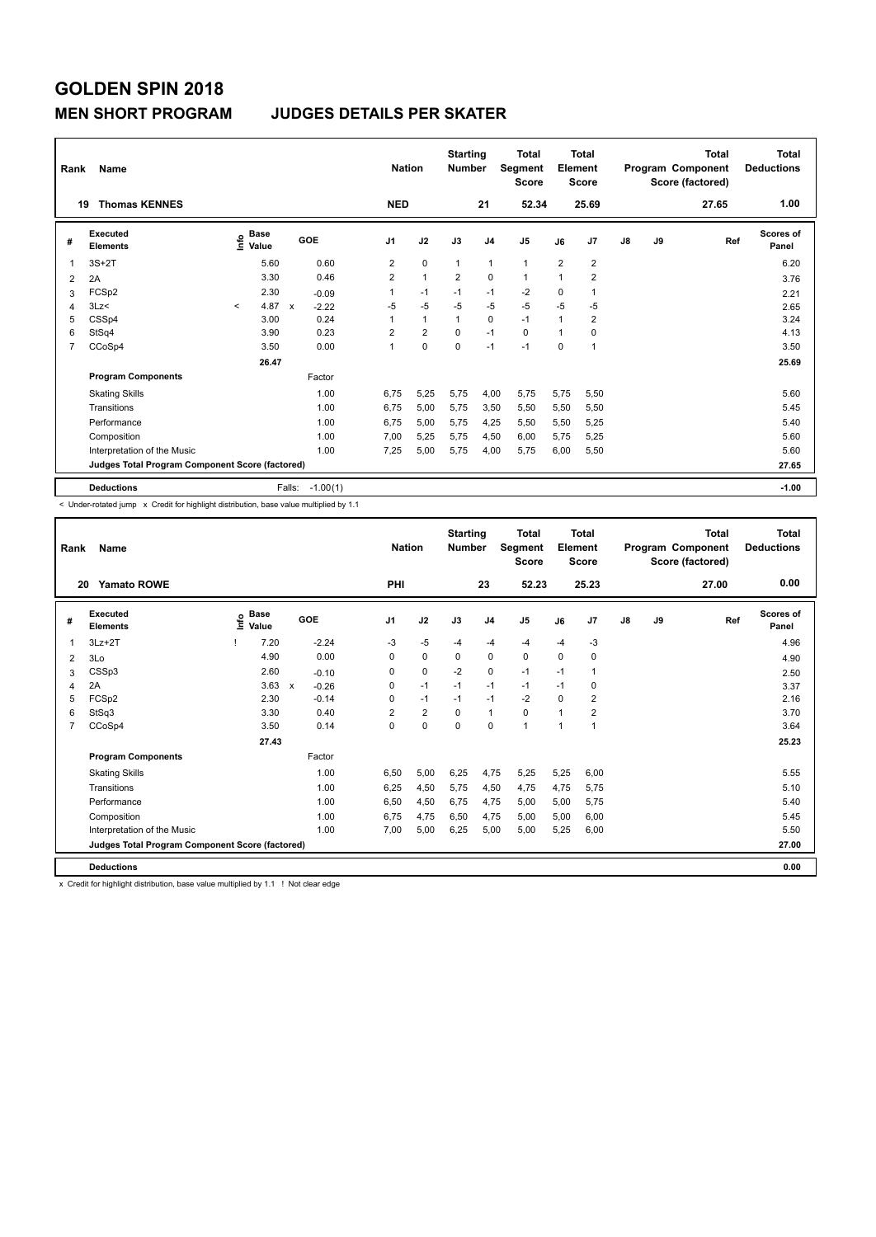#### **MEN SHORT PROGRAM JUDGES DETAILS PER SKATER**

| Rank | Name<br><b>Thomas KENNES</b><br>19              |         |                                  |              |            | <b>Nation</b><br><b>NED</b> |                | <b>Starting</b><br><b>Number</b> | 21             | <b>Total</b><br>Segment<br><b>Score</b><br>52.34 |                | Total<br>Element<br><b>Score</b><br>25.69 |               |    | <b>Total</b><br>Program Component<br>Score (factored)<br>27.65 | Total<br><b>Deductions</b><br>1.00 |
|------|-------------------------------------------------|---------|----------------------------------|--------------|------------|-----------------------------|----------------|----------------------------------|----------------|--------------------------------------------------|----------------|-------------------------------------------|---------------|----|----------------------------------------------------------------|------------------------------------|
| #    | <b>Executed</b><br><b>Elements</b>              |         | <b>Base</b><br>e Base<br>⊆ Value |              | GOE        | J <sub>1</sub>              | J2             | J3                               | J <sub>4</sub> | J <sub>5</sub>                                   | J6             | J <sub>7</sub>                            | $\mathsf{J}8$ | J9 | Ref                                                            | Scores of<br>Panel                 |
| 1    | $3S+2T$                                         |         | 5.60                             |              | 0.60       | 2                           | $\mathbf 0$    | $\overline{1}$                   | $\overline{1}$ | $\mathbf{1}$                                     | $\overline{2}$ | 2                                         |               |    |                                                                | 6.20                               |
| 2    | 2A                                              |         | 3.30                             |              | 0.46       | $\overline{2}$              | $\mathbf{1}$   | $\overline{2}$                   | $\Omega$       | $\overline{1}$                                   | $\overline{1}$ | 2                                         |               |    |                                                                | 3.76                               |
| 3    | FCSp2                                           |         | 2.30                             |              | $-0.09$    | 1                           | $-1$           | $-1$                             | $-1$           | $-2$                                             | 0              | 1                                         |               |    |                                                                | 2.21                               |
| 4    | 3Lz<                                            | $\prec$ | 4.87                             | $\mathbf{x}$ | $-2.22$    | $-5$                        | $-5$           | $-5$                             | $-5$           | $-5$                                             | $-5$           | $-5$                                      |               |    |                                                                | 2.65                               |
| 5    | CSSp4                                           |         | 3.00                             |              | 0.24       | 1                           | $\mathbf{1}$   | $\overline{1}$                   | $\mathbf 0$    | $-1$                                             | $\overline{1}$ | $\overline{2}$                            |               |    |                                                                | 3.24                               |
| 6    | StSq4                                           |         | 3.90                             |              | 0.23       | $\overline{2}$              | $\overline{2}$ | $\Omega$                         | $-1$           | $\Omega$                                         | $\mathbf{1}$   | $\Omega$                                  |               |    |                                                                | 4.13                               |
| 7    | CCoSp4                                          |         | 3.50                             |              | 0.00       | 1                           | 0              | 0                                | $-1$           | $-1$                                             | 0              | 1                                         |               |    |                                                                | 3.50                               |
|      |                                                 |         | 26.47                            |              |            |                             |                |                                  |                |                                                  |                |                                           |               |    |                                                                | 25.69                              |
|      | <b>Program Components</b>                       |         |                                  |              | Factor     |                             |                |                                  |                |                                                  |                |                                           |               |    |                                                                |                                    |
|      | <b>Skating Skills</b>                           |         |                                  |              | 1.00       | 6.75                        | 5.25           | 5.75                             | 4.00           | 5.75                                             | 5,75           | 5,50                                      |               |    |                                                                | 5.60                               |
|      | Transitions                                     |         |                                  |              | 1.00       | 6.75                        | 5,00           | 5,75                             | 3,50           | 5,50                                             | 5,50           | 5,50                                      |               |    |                                                                | 5.45                               |
|      | Performance                                     |         |                                  |              | 1.00       | 6.75                        | 5,00           | 5,75                             | 4,25           | 5,50                                             | 5,50           | 5,25                                      |               |    |                                                                | 5.40                               |
|      | Composition                                     |         |                                  |              | 1.00       | 7,00                        | 5,25           | 5,75                             | 4,50           | 6,00                                             | 5,75           | 5,25                                      |               |    |                                                                | 5.60                               |
|      | Interpretation of the Music                     |         |                                  |              | 1.00       | 7,25                        | 5,00           | 5,75                             | 4,00           | 5,75                                             | 6,00           | 5,50                                      |               |    |                                                                | 5.60                               |
|      | Judges Total Program Component Score (factored) |         |                                  |              |            |                             |                |                                  |                |                                                  |                |                                           |               |    |                                                                | 27.65                              |
|      | <b>Deductions</b>                               |         |                                  | Falls:       | $-1.00(1)$ |                             |                |                                  |                |                                                  |                |                                           |               |    |                                                                | $-1.00$                            |

-<br>< Under-rotated jump x Credit for highlight distribution, base value multiplied by 1.1

| Rank           | Name                                            |       |                      |                         |      | <b>Nation</b>  |                | <b>Starting</b><br><b>Number</b> |                | Total<br>Segment<br><b>Score</b> |          | Total<br>Element<br>Score |               |    | Total<br>Program Component<br>Score (factored) | <b>Total</b><br><b>Deductions</b> |
|----------------|-------------------------------------------------|-------|----------------------|-------------------------|------|----------------|----------------|----------------------------------|----------------|----------------------------------|----------|---------------------------|---------------|----|------------------------------------------------|-----------------------------------|
| 20             | <b>Yamato ROWE</b>                              |       |                      |                         |      | PHI            |                |                                  | 23             | 52.23                            |          | 25.23                     |               |    | 27.00                                          | 0.00                              |
| #              | Executed<br><b>Elements</b>                     | Linfo | <b>Base</b><br>Value | GOE                     |      | J <sub>1</sub> | J2             | J3                               | J <sub>4</sub> | J5                               | J6       | J7                        | $\mathsf{J}8$ | J9 | Ref                                            | Scores of<br>Panel                |
|                | $3Lz + 2T$                                      |       | 7.20                 | $-2.24$                 |      | -3             | $-5$           | $-4$                             | $-4$           | $-4$                             | $-4$     | $-3$                      |               |    |                                                | 4.96                              |
| 2              | 3Lo                                             |       | 4.90                 |                         | 0.00 | $\Omega$       | $\mathbf 0$    | 0                                | 0              | 0                                | $\Omega$ | 0                         |               |    |                                                | 4.90                              |
| 3              | CSSp3                                           |       | 2.60                 | $-0.10$                 |      | 0              | 0              | $-2$                             | 0              | $-1$                             | $-1$     | 1                         |               |    |                                                | 2.50                              |
| 4              | 2A                                              |       | 3.63                 | $\mathsf{x}$<br>$-0.26$ |      | 0              | $-1$           | $-1$                             | $-1$           | $-1$                             | $-1$     | 0                         |               |    |                                                | 3.37                              |
| 5              | FCSp2                                           |       | 2.30                 | $-0.14$                 |      | $\Omega$       | $-1$           | $-1$                             | $-1$           | $-2$                             | $\Omega$ | $\overline{2}$            |               |    |                                                | 2.16                              |
| 6              | StSq3                                           |       | 3.30                 |                         | 0.40 | $\overline{2}$ | $\overline{2}$ | $\Omega$                         | $\mathbf{1}$   | 0                                | 1        | $\overline{2}$            |               |    |                                                | 3.70                              |
| $\overline{7}$ | CCoSp4                                          |       | 3.50                 |                         | 0.14 | $\Omega$       | $\mathbf 0$    | $\Omega$                         | $\mathbf 0$    | 1                                | 1        | $\overline{1}$            |               |    |                                                | 3.64                              |
|                |                                                 |       | 27.43                |                         |      |                |                |                                  |                |                                  |          |                           |               |    |                                                | 25.23                             |
|                | <b>Program Components</b>                       |       |                      | Factor                  |      |                |                |                                  |                |                                  |          |                           |               |    |                                                |                                   |
|                | <b>Skating Skills</b>                           |       |                      |                         | 1.00 | 6,50           | 5,00           | 6,25                             | 4,75           | 5,25                             | 5,25     | 6,00                      |               |    |                                                | 5.55                              |
|                | Transitions                                     |       |                      |                         | 1.00 | 6,25           | 4,50           | 5,75                             | 4,50           | 4,75                             | 4,75     | 5,75                      |               |    |                                                | 5.10                              |
|                | Performance                                     |       |                      |                         | 1.00 | 6,50           | 4,50           | 6,75                             | 4,75           | 5,00                             | 5,00     | 5,75                      |               |    |                                                | 5.40                              |
|                | Composition                                     |       |                      |                         | 1.00 | 6,75           | 4,75           | 6,50                             | 4,75           | 5,00                             | 5,00     | 6,00                      |               |    |                                                | 5.45                              |
|                | Interpretation of the Music                     |       |                      |                         | 1.00 | 7.00           | 5,00           | 6,25                             | 5,00           | 5,00                             | 5.25     | 6.00                      |               |    |                                                | 5.50                              |
|                | Judges Total Program Component Score (factored) |       |                      |                         |      |                |                |                                  |                |                                  |          |                           |               |    |                                                | 27.00                             |
|                | <b>Deductions</b>                               |       |                      |                         |      |                |                |                                  |                |                                  |          |                           |               |    |                                                | 0.00                              |

x Credit for highlight distribution, base value multiplied by 1.1 ! Not clear edge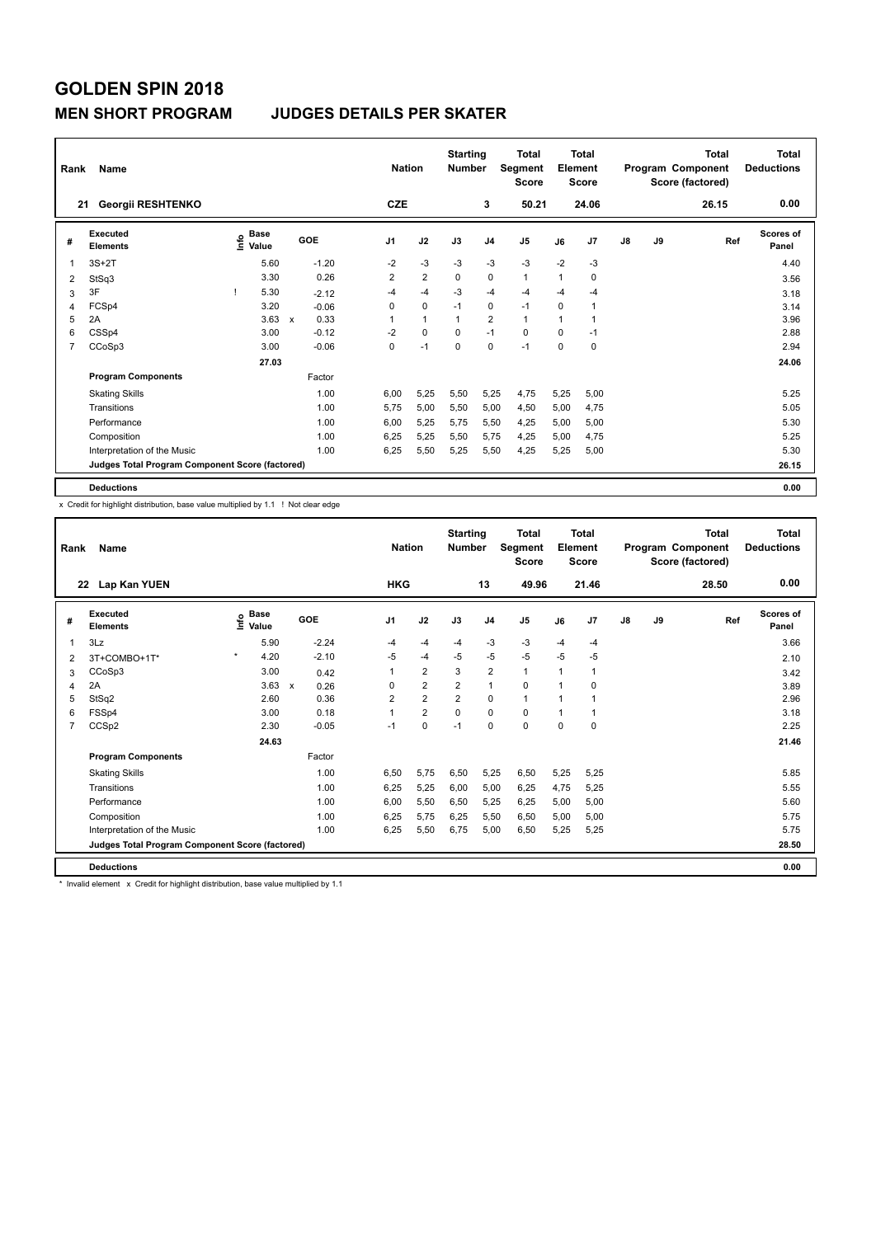#### **MEN SHORT PROGRAM JUDGES DETAILS PER SKATER**

| Rank | Name                                            |                                  |              |         | <b>Nation</b>  |                | <b>Starting</b><br><b>Number</b> |                | Total<br>Segment<br><b>Score</b> |                | <b>Total</b><br>Element<br><b>Score</b> |               |    | <b>Total</b><br>Program Component<br>Score (factored) | <b>Total</b><br><b>Deductions</b> |
|------|-------------------------------------------------|----------------------------------|--------------|---------|----------------|----------------|----------------------------------|----------------|----------------------------------|----------------|-----------------------------------------|---------------|----|-------------------------------------------------------|-----------------------------------|
| 21   | Georgii RESHTENKO                               |                                  |              |         | <b>CZE</b>     |                |                                  | 3              | 50.21                            |                | 24.06                                   |               |    | 26.15                                                 | 0.00                              |
| #    | <b>Executed</b><br><b>Elements</b>              | <b>Base</b><br>e Base<br>⊆ Value |              | GOE     | J <sub>1</sub> | J2             | J3                               | J <sub>4</sub> | J <sub>5</sub>                   | J6             | J7                                      | $\mathsf{J}8$ | J9 | Ref                                                   | <b>Scores of</b><br>Panel         |
| 1    | $3S+2T$                                         | 5.60                             |              | $-1.20$ | $-2$           | $-3$           | $-3$                             | $-3$           | $-3$                             | $-2$           | $-3$                                    |               |    |                                                       | 4.40                              |
| 2    | StSq3                                           | 3.30                             |              | 0.26    | $\overline{2}$ | $\overline{2}$ | 0                                | 0              | $\mathbf{1}$                     | $\mathbf{1}$   | 0                                       |               |    |                                                       | 3.56                              |
| 3    | 3F                                              | 5.30                             |              | $-2.12$ | $-4$           | $-4$           | $-3$                             | $-4$           | $-4$                             | $-4$           | -4                                      |               |    |                                                       | 3.18                              |
| 4    | FCSp4                                           | 3.20                             |              | $-0.06$ | 0              | $\mathbf 0$    | $-1$                             | 0              | $-1$                             | 0              |                                         |               |    |                                                       | 3.14                              |
| 5    | 2A                                              | 3.63                             | $\mathsf{x}$ | 0.33    | 1              | $\mathbf{1}$   | 1                                | $\overline{2}$ | $\mathbf{1}$                     | $\overline{1}$ |                                         |               |    |                                                       | 3.96                              |
| 6    | CSSp4                                           | 3.00                             |              | $-0.12$ | $-2$           | $\mathbf 0$    | $\Omega$                         | $-1$           | $\mathbf 0$                      | $\mathbf 0$    | $-1$                                    |               |    |                                                       | 2.88                              |
| 7    | CCoSp3                                          | 3.00                             |              | $-0.06$ | 0              | $-1$           | $\mathbf 0$                      | $\mathbf 0$    | $-1$                             | $\mathbf 0$    | 0                                       |               |    |                                                       | 2.94                              |
|      |                                                 | 27.03                            |              |         |                |                |                                  |                |                                  |                |                                         |               |    |                                                       | 24.06                             |
|      | <b>Program Components</b>                       |                                  |              | Factor  |                |                |                                  |                |                                  |                |                                         |               |    |                                                       |                                   |
|      | <b>Skating Skills</b>                           |                                  |              | 1.00    | 6.00           | 5,25           | 5,50                             | 5,25           | 4,75                             | 5,25           | 5,00                                    |               |    |                                                       | 5.25                              |
|      | Transitions                                     |                                  |              | 1.00    | 5,75           | 5,00           | 5,50                             | 5,00           | 4,50                             | 5,00           | 4,75                                    |               |    |                                                       | 5.05                              |
|      | Performance                                     |                                  |              | 1.00    | 6,00           | 5,25           | 5,75                             | 5,50           | 4,25                             | 5,00           | 5,00                                    |               |    |                                                       | 5.30                              |
|      | Composition                                     |                                  |              | 1.00    | 6,25           | 5,25           | 5,50                             | 5,75           | 4,25                             | 5,00           | 4,75                                    |               |    |                                                       | 5.25                              |
|      | Interpretation of the Music                     |                                  |              | 1.00    | 6,25           | 5,50           | 5,25                             | 5,50           | 4,25                             | 5,25           | 5,00                                    |               |    |                                                       | 5.30                              |
|      | Judges Total Program Component Score (factored) |                                  |              |         |                |                |                                  |                |                                  |                |                                         |               |    |                                                       | 26.15                             |
|      | <b>Deductions</b>                               |                                  |              |         |                |                |                                  |                |                                  |                |                                         |               |    |                                                       | 0.00                              |

x Credit for highlight distribution, base value multiplied by 1.1 ! Not clear edge

| Rank           | Name                                            |                   |                                   | <b>Nation</b>  |                | <b>Starting</b><br><b>Number</b> |                         | <b>Total</b><br>Segment<br><b>Score</b> |      | Total<br>Element<br><b>Score</b> |               |    | <b>Total</b><br>Program Component<br>Score (factored) | <b>Total</b><br><b>Deductions</b> |
|----------------|-------------------------------------------------|-------------------|-----------------------------------|----------------|----------------|----------------------------------|-------------------------|-----------------------------------------|------|----------------------------------|---------------|----|-------------------------------------------------------|-----------------------------------|
|                | 22 Lap Kan YUEN                                 |                   |                                   | <b>HKG</b>     |                |                                  | 13                      | 49.96                                   |      | 21.46                            |               |    | 28.50                                                 | 0.00                              |
| #              | Executed<br><b>Elements</b>                     | e Base<br>E Value | GOE                               | J1             | J2             | J3                               | J <sub>4</sub>          | J5                                      | J6   | J7                               | $\mathsf{J}8$ | J9 | Ref                                                   | Scores of<br>Panel                |
| 1              | 3Lz                                             | 5.90              | $-2.24$                           | -4             | -4             | $-4$                             | $-3$                    | $-3$                                    | $-4$ | $-4$                             |               |    |                                                       | 3.66                              |
| 2              | 3T+COMBO+1T*                                    | $\star$<br>4.20   | $-2.10$                           | $-5$           | -4             | $-5$                             | $-5$                    | $-5$                                    | $-5$ | $-5$                             |               |    |                                                       | 2.10                              |
| 3              | CCoSp3                                          | 3.00              | 0.42                              | 1              | $\overline{2}$ | 3                                | $\overline{\mathbf{c}}$ | $\mathbf{1}$                            | 1    | 1                                |               |    |                                                       | 3.42                              |
| 4              | 2A                                              | 3.63              | $\boldsymbol{\mathsf{x}}$<br>0.26 | $\Omega$       | $\overline{2}$ | $\overline{2}$                   | $\mathbf{1}$            | $\Omega$                                | 1    | $\Omega$                         |               |    |                                                       | 3.89                              |
| 5              | StSq2                                           | 2.60              | 0.36                              | $\overline{2}$ | $\overline{2}$ | $\overline{2}$                   | $\mathbf 0$             | 1                                       | 1    | 1                                |               |    |                                                       | 2.96                              |
| 6              | FSSp4                                           | 3.00              | 0.18                              | 1              | $\overline{2}$ | $\Omega$                         | $\Omega$                | 0                                       | 1    | 1                                |               |    |                                                       | 3.18                              |
| $\overline{7}$ | CCSp2                                           | 2.30              | $-0.05$                           | $-1$           | 0              | $-1$                             | $\Omega$                | $\Omega$                                | 0    | $\Omega$                         |               |    |                                                       | 2.25                              |
|                |                                                 | 24.63             |                                   |                |                |                                  |                         |                                         |      |                                  |               |    |                                                       | 21.46                             |
|                | <b>Program Components</b>                       |                   | Factor                            |                |                |                                  |                         |                                         |      |                                  |               |    |                                                       |                                   |
|                | <b>Skating Skills</b>                           |                   | 1.00                              | 6.50           | 5,75           | 6,50                             | 5,25                    | 6,50                                    | 5,25 | 5,25                             |               |    |                                                       | 5.85                              |
|                | Transitions                                     |                   | 1.00                              | 6,25           | 5,25           | 6,00                             | 5,00                    | 6,25                                    | 4,75 | 5,25                             |               |    |                                                       | 5.55                              |
|                | Performance                                     |                   | 1.00                              | 6.00           | 5,50           | 6,50                             | 5,25                    | 6,25                                    | 5,00 | 5,00                             |               |    |                                                       | 5.60                              |
|                | Composition                                     |                   | 1.00                              | 6,25           | 5,75           | 6,25                             | 5,50                    | 6,50                                    | 5,00 | 5,00                             |               |    |                                                       | 5.75                              |
|                | Interpretation of the Music                     |                   | 1.00                              | 6.25           | 5,50           | 6.75                             | 5.00                    | 6,50                                    | 5.25 | 5,25                             |               |    |                                                       | 5.75                              |
|                | Judges Total Program Component Score (factored) |                   |                                   |                |                |                                  |                         |                                         |      |                                  |               |    |                                                       | 28.50                             |
|                | <b>Deductions</b>                               |                   |                                   |                |                |                                  |                         |                                         |      |                                  |               |    |                                                       | 0.00                              |

\* Invalid element x Credit for highlight distribution, base value multiplied by 1.1